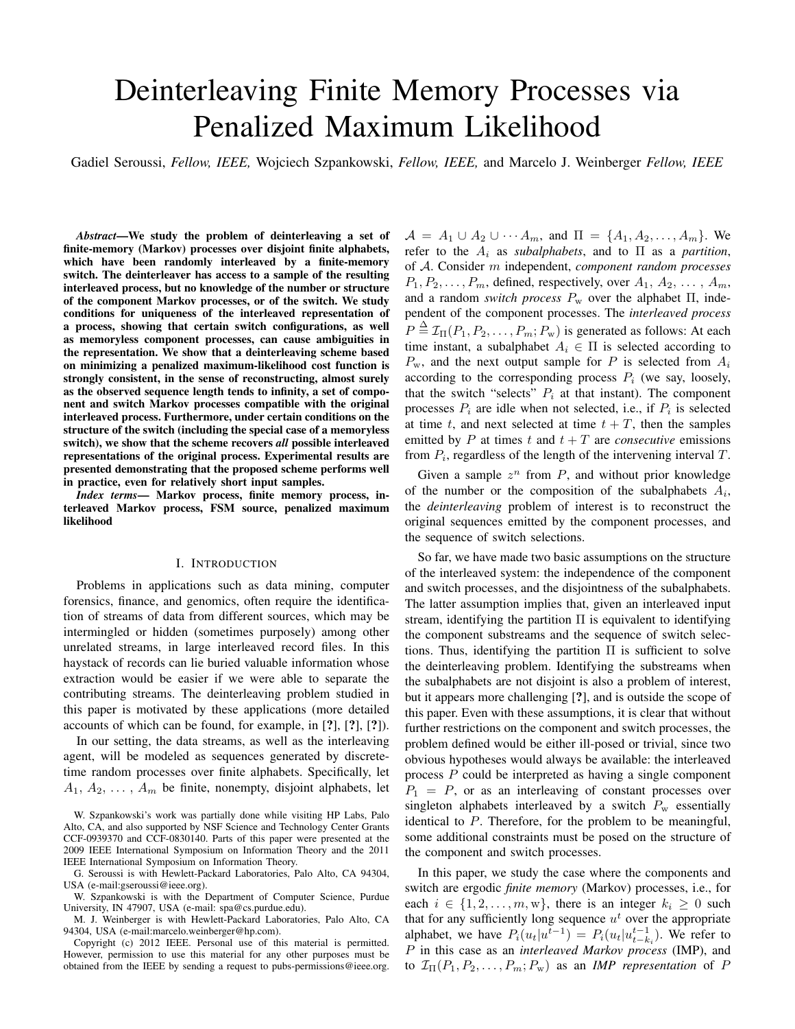# Deinterleaving Finite Memory Processes via Penalized Maximum Likelihood

Gadiel Seroussi, *Fellow, IEEE,* Wojciech Szpankowski, *Fellow, IEEE,* and Marcelo J. Weinberger *Fellow, IEEE*

*Abstract*—We study the problem of deinterleaving a set of finite-memory (Markov) processes over disjoint finite alphabets, which have been randomly interleaved by a finite-memory switch. The deinterleaver has access to a sample of the resulting interleaved process, but no knowledge of the number or structure of the component Markov processes, or of the switch. We study conditions for uniqueness of the interleaved representation of a process, showing that certain switch configurations, as well as memoryless component processes, can cause ambiguities in the representation. We show that a deinterleaving scheme based on minimizing a penalized maximum-likelihood cost function is strongly consistent, in the sense of reconstructing, almost surely as the observed sequence length tends to infinity, a set of component and switch Markov processes compatible with the original interleaved process. Furthermore, under certain conditions on the structure of the switch (including the special case of a memoryless switch), we show that the scheme recovers *all* possible interleaved representations of the original process. Experimental results are presented demonstrating that the proposed scheme performs well in practice, even for relatively short input samples.

*Index terms*— Markov process, finite memory process, interleaved Markov process, FSM source, penalized maximum likelihood

## I. INTRODUCTION

Problems in applications such as data mining, computer forensics, finance, and genomics, often require the identification of streams of data from different sources, which may be intermingled or hidden (sometimes purposely) among other unrelated streams, in large interleaved record files. In this haystack of records can lie buried valuable information whose extraction would be easier if we were able to separate the contributing streams. The deinterleaving problem studied in this paper is motivated by these applications (more detailed accounts of which can be found, for example, in [?], [?], [?]).

In our setting, the data streams, as well as the interleaving agent, will be modeled as sequences generated by discretetime random processes over finite alphabets. Specifically, let  $A_1, A_2, \ldots, A_m$  be finite, nonempty, disjoint alphabets, let

G. Seroussi is with Hewlett-Packard Laboratories, Palo Alto, CA 94304, USA (e-mail:gseroussi@ieee.org).

W. Szpankowski is with the Department of Computer Science, Purdue University, IN 47907, USA (e-mail: spa@cs.purdue.edu).

M. J. Weinberger is with Hewlett-Packard Laboratories, Palo Alto, CA 94304, USA (e-mail:marcelo.weinberger@hp.com).

Copyright (c) 2012 IEEE. Personal use of this material is permitted. However, permission to use this material for any other purposes must be obtained from the IEEE by sending a request to pubs-permissions@ieee.org.

 $A = A_1 \cup A_2 \cup \cdots A_m$ , and  $\Pi = \{A_1, A_2, \ldots, A_m\}$ . We refer to the  $A_i$  as *subalphabets*, and to  $\Pi$  as a *partition*, of A. Consider m independent, *component random processes*  $P_1, P_2, \ldots, P_m$ , defined, respectively, over  $A_1, A_2, \ldots, A_m$ , and a random *switch process*  $P_w$  over the alphabet  $\Pi$ , independent of the component processes. The *interleaved process*  $P \triangleq \mathcal{I}_{\Pi}(P_1, P_2, \dots, P_m; P_w)$  is generated as follows: At each time instant, a subalphabet  $A_i \in \Pi$  is selected according to  $P_{\rm w}$ , and the next output sample for P is selected from  $A_i$ according to the corresponding process  $P_i$  (we say, loosely, that the switch "selects"  $P_i$  at that instant). The component processes  $P_i$  are idle when not selected, i.e., if  $P_i$  is selected at time t, and next selected at time  $t + T$ , then the samples emitted by  $P$  at times  $t$  and  $t + T$  are *consecutive* emissions from  $P_i$ , regardless of the length of the intervening interval  $T$ .

Given a sample  $z^n$  from  $P$ , and without prior knowledge of the number or the composition of the subalphabets  $A_i$ , the *deinterleaving* problem of interest is to reconstruct the original sequences emitted by the component processes, and the sequence of switch selections.

So far, we have made two basic assumptions on the structure of the interleaved system: the independence of the component and switch processes, and the disjointness of the subalphabets. The latter assumption implies that, given an interleaved input stream, identifying the partition  $\Pi$  is equivalent to identifying the component substreams and the sequence of switch selections. Thus, identifying the partition  $\Pi$  is sufficient to solve the deinterleaving problem. Identifying the substreams when the subalphabets are not disjoint is also a problem of interest, but it appears more challenging [?], and is outside the scope of this paper. Even with these assumptions, it is clear that without further restrictions on the component and switch processes, the problem defined would be either ill-posed or trivial, since two obvious hypotheses would always be available: the interleaved process P could be interpreted as having a single component  $P_1 = P$ , or as an interleaving of constant processes over singleton alphabets interleaved by a switch  $P_w$  essentially identical to P. Therefore, for the problem to be meaningful, some additional constraints must be posed on the structure of the component and switch processes.

In this paper, we study the case where the components and switch are ergodic *finite memory* (Markov) processes, i.e., for each  $i \in \{1, 2, \ldots, m, w\}$ , there is an integer  $k_i \geq 0$  such that for any sufficiently long sequence  $u<sup>t</sup>$  over the appropriate alphabet, we have  $P_i(u_t|u_t^{t-1}) = P_i(u_t|u_{t-k_i}^{t-1})$ . We refer to P in this case as an *interleaved Markov process* (IMP), and to  $\mathcal{I}_{\Pi}(P_1, P_2, \ldots, P_m; P_w)$  as an *IMP representation* of P

W. Szpankowski's work was partially done while visiting HP Labs, Palo Alto, CA, and also supported by NSF Science and Technology Center Grants CCF-0939370 and CCF-0830140. Parts of this paper were presented at the 2009 IEEE International Symposium on Information Theory and the 2011 IEEE International Symposium on Information Theory.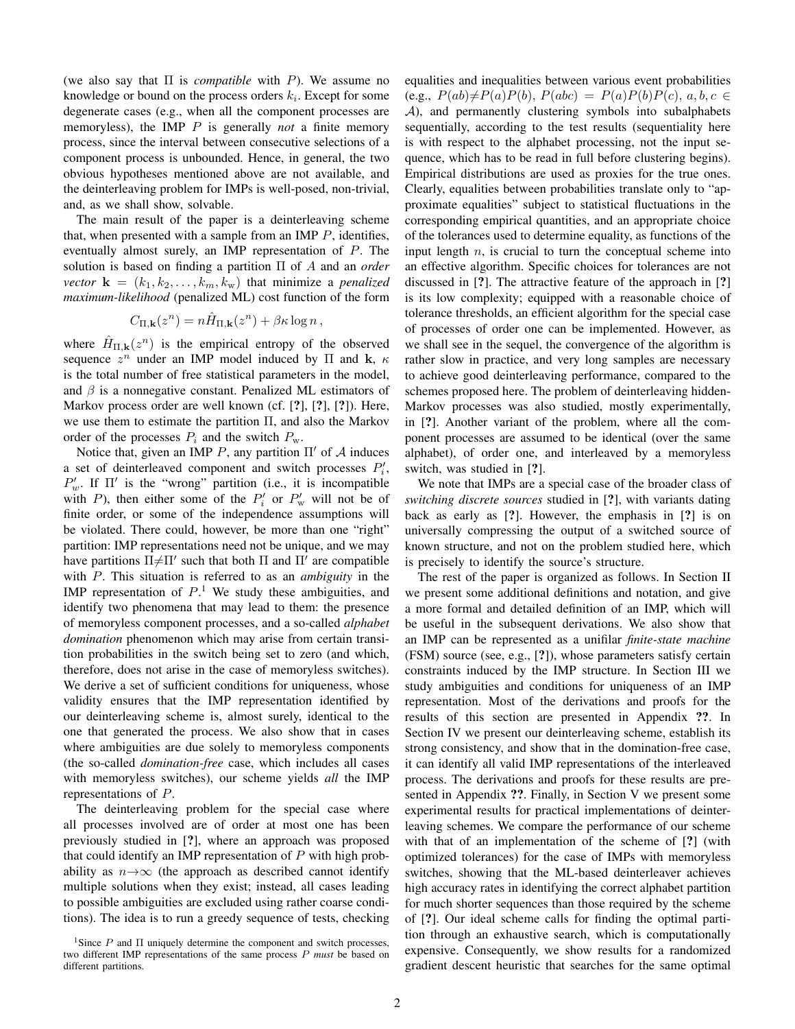(we also say that Π is *compatible* with P). We assume no knowledge or bound on the process orders  $k_i$ . Except for some degenerate cases (e.g., when all the component processes are memoryless), the IMP P is generally *not* a finite memory process, since the interval between consecutive selections of a component process is unbounded. Hence, in general, the two obvious hypotheses mentioned above are not available, and the deinterleaving problem for IMPs is well-posed, non-trivial, and, as we shall show, solvable.

The main result of the paper is a deinterleaving scheme that, when presented with a sample from an IMP  $P$ , identifies, eventually almost surely, an IMP representation of P. The solution is based on finding a partition Π of A and an *order vector*  $\mathbf{k} = (k_1, k_2, \dots, k_m, k_w)$  that minimize a *penalized maximum-likelihood* (penalized ML) cost function of the form

$$
C_{\Pi,\mathbf{k}}(z^n) = n\hat{H}_{\Pi,\mathbf{k}}(z^n) + \beta \kappa \log n ,
$$

where  $\hat{H}_{\Pi,\mathbf{k}}(z^n)$  is the empirical entropy of the observed sequence  $z^n$  under an IMP model induced by  $\Pi$  and  $\mathbf{k}, \kappa$ is the total number of free statistical parameters in the model, and  $\beta$  is a nonnegative constant. Penalized ML estimators of Markov process order are well known (cf. [?], [?], [?]). Here, we use them to estimate the partition  $\Pi$ , and also the Markov order of the processes  $P_i$  and the switch  $P_w$ .

Notice that, given an IMP P, any partition  $\Pi'$  of A induces a set of deinterleaved component and switch processes  $P'_i$ ,  $P'_w$ . If  $\Pi'$  is the "wrong" partition (i.e., it is incompatible with P), then either some of the  $P'_i$  or  $P'_w$  will not be of finite order, or some of the independence assumptions will be violated. There could, however, be more than one "right" partition: IMP representations need not be unique, and we may have partitions  $\Pi \neq \Pi'$  such that both  $\Pi$  and  $\Pi'$  are compatible with P. This situation is referred to as an *ambiguity* in the IMP representation of  $P<sup>1</sup>$ . We study these ambiguities, and identify two phenomena that may lead to them: the presence of memoryless component processes, and a so-called *alphabet domination* phenomenon which may arise from certain transition probabilities in the switch being set to zero (and which, therefore, does not arise in the case of memoryless switches). We derive a set of sufficient conditions for uniqueness, whose validity ensures that the IMP representation identified by our deinterleaving scheme is, almost surely, identical to the one that generated the process. We also show that in cases where ambiguities are due solely to memoryless components (the so-called *domination-free* case, which includes all cases with memoryless switches), our scheme yields *all* the IMP representations of P.

The deinterleaving problem for the special case where all processes involved are of order at most one has been previously studied in [?], where an approach was proposed that could identify an IMP representation of  $P$  with high probability as  $n \rightarrow \infty$  (the approach as described cannot identify multiple solutions when they exist; instead, all cases leading to possible ambiguities are excluded using rather coarse conditions). The idea is to run a greedy sequence of tests, checking equalities and inequalities between various event probabilities (e.g.,  $P(ab) \neq P(a)P(b)$ ,  $P(abc) = P(a)P(b)P(c)$ ,  $a, b, c \in$ A), and permanently clustering symbols into subalphabets sequentially, according to the test results (sequentiality here is with respect to the alphabet processing, not the input sequence, which has to be read in full before clustering begins). Empirical distributions are used as proxies for the true ones. Clearly, equalities between probabilities translate only to "approximate equalities" subject to statistical fluctuations in the corresponding empirical quantities, and an appropriate choice of the tolerances used to determine equality, as functions of the input length  $n$ , is crucial to turn the conceptual scheme into an effective algorithm. Specific choices for tolerances are not discussed in [?]. The attractive feature of the approach in [?] is its low complexity; equipped with a reasonable choice of tolerance thresholds, an efficient algorithm for the special case of processes of order one can be implemented. However, as we shall see in the sequel, the convergence of the algorithm is rather slow in practice, and very long samples are necessary to achieve good deinterleaving performance, compared to the schemes proposed here. The problem of deinterleaving hidden-Markov processes was also studied, mostly experimentally, in [?]. Another variant of the problem, where all the component processes are assumed to be identical (over the same alphabet), of order one, and interleaved by a memoryless switch, was studied in [?].

We note that IMPs are a special case of the broader class of *switching discrete sources* studied in [?], with variants dating back as early as [?]. However, the emphasis in [?] is on universally compressing the output of a switched source of known structure, and not on the problem studied here, which is precisely to identify the source's structure.

The rest of the paper is organized as follows. In Section II we present some additional definitions and notation, and give a more formal and detailed definition of an IMP, which will be useful in the subsequent derivations. We also show that an IMP can be represented as a unifilar *finite-state machine* (FSM) source (see, e.g., [?]), whose parameters satisfy certain constraints induced by the IMP structure. In Section III we study ambiguities and conditions for uniqueness of an IMP representation. Most of the derivations and proofs for the results of this section are presented in Appendix ??. In Section IV we present our deinterleaving scheme, establish its strong consistency, and show that in the domination-free case, it can identify all valid IMP representations of the interleaved process. The derivations and proofs for these results are presented in Appendix ??. Finally, in Section V we present some experimental results for practical implementations of deinterleaving schemes. We compare the performance of our scheme with that of an implementation of the scheme of [?] (with optimized tolerances) for the case of IMPs with memoryless switches, showing that the ML-based deinterleaver achieves high accuracy rates in identifying the correct alphabet partition for much shorter sequences than those required by the scheme of [?]. Our ideal scheme calls for finding the optimal partition through an exhaustive search, which is computationally expensive. Consequently, we show results for a randomized gradient descent heuristic that searches for the same optimal

<sup>&</sup>lt;sup>1</sup>Since  $P$  and  $\Pi$  uniquely determine the component and switch processes, two different IMP representations of the same process P *must* be based on different partitions.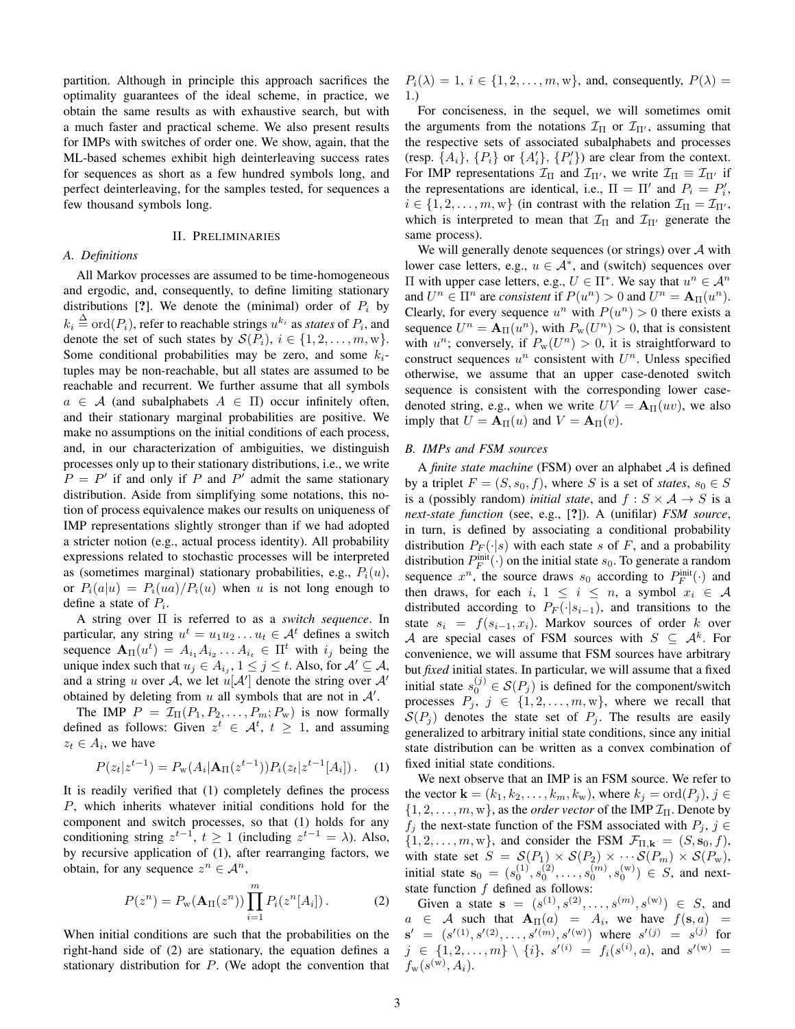partition. Although in principle this approach sacrifices the optimality guarantees of the ideal scheme, in practice, we obtain the same results as with exhaustive search, but with a much faster and practical scheme. We also present results for IMPs with switches of order one. We show, again, that the ML-based schemes exhibit high deinterleaving success rates for sequences as short as a few hundred symbols long, and perfect deinterleaving, for the samples tested, for sequences a few thousand symbols long.

# II. PRELIMINARIES

# *A. Definitions*

All Markov processes are assumed to be time-homogeneous and ergodic, and, consequently, to define limiting stationary distributions [?]. We denote the (minimal) order of  $P_i$  by  $k_i \stackrel{\Delta}{=} \text{ord}(P_i)$ , refer to reachable strings  $u^{k_i}$  as *states* of  $P_i$ , and denote the set of such states by  $\mathcal{S}(P_i)$ ,  $i \in \{1, 2, \ldots, m, w\}$ . Some conditional probabilities may be zero, and some  $k_i$ tuples may be non-reachable, but all states are assumed to be reachable and recurrent. We further assume that all symbols  $a \in \mathcal{A}$  (and subalphabets  $A \in \Pi$ ) occur infinitely often, and their stationary marginal probabilities are positive. We make no assumptions on the initial conditions of each process, and, in our characterization of ambiguities, we distinguish processes only up to their stationary distributions, i.e., we write  $P = P'$  if and only if P and P' admit the same stationary distribution. Aside from simplifying some notations, this notion of process equivalence makes our results on uniqueness of IMP representations slightly stronger than if we had adopted a stricter notion (e.g., actual process identity). All probability expressions related to stochastic processes will be interpreted as (sometimes marginal) stationary probabilities, e.g.,  $P_i(u)$ , or  $P_i(a|u) = P_i(ua)/P_i(u)$  when u is not long enough to define a state of  $P_i$ .

A string over Π is referred to as a *switch sequence*. In particular, any string  $u^t = u_1 u_2 \dots u_t \in A^t$  defines a switch sequence  $\mathbf{A}_{\Pi}(u^t) = A_{i_1} A_{i_2} \dots A_{i_t} \in \Pi^t$  with  $i_j$  being the unique index such that  $u_j \in A_{i_j}$ ,  $1 \le j \le t$ . Also, for  $\mathcal{A}' \subseteq \mathcal{A}$ , and a string u over A, we let  $u[\mathcal{A}']$  denote the string over  $\mathcal{A}'$ obtained by deleting from  $u$  all symbols that are not in  $A'$ .

The IMP  $P = \mathcal{I}_{\Pi}(P_1, P_2, \ldots, P_m; P_w)$  is now formally defined as follows: Given  $z^t \in \mathcal{A}^t$ ,  $t \geq 1$ , and assuming  $z_t \in A_i$ , we have

$$
P(z_t|z^{t-1}) = P_{\mathbf{w}}(A_i|\mathbf{A}_{\Pi}(z^{t-1}))P_i(z_t|z^{t-1}[A_i]). \quad (1)
$$

It is readily verified that (1) completely defines the process P, which inherits whatever initial conditions hold for the component and switch processes, so that (1) holds for any conditioning string  $z^{t-1}$ ,  $t \ge 1$  (including  $z^{t-1} = \lambda$ ). Also, by recursive application of (1), after rearranging factors, we obtain, for any sequence  $z^n \in A^n$ ,

$$
P(z^n) = P_{\rm w}(\mathbf{A}_{\rm II}(z^n)) \prod_{i=1}^m P_i(z^n[A_i]). \tag{2}
$$

When initial conditions are such that the probabilities on the right-hand side of (2) are stationary, the equation defines a stationary distribution for  $P$ . (We adopt the convention that  $P_i(\lambda) = 1, i \in \{1, 2, \ldots, m, w\},$  and, consequently,  $P(\lambda) =$ 1.)

For conciseness, in the sequel, we will sometimes omit the arguments from the notations  $\mathcal{I}_{\Pi}$  or  $\mathcal{I}_{\Pi'}$ , assuming that the respective sets of associated subalphabets and processes (resp.  $\{A_i\}$ ,  $\{P_i\}$  or  $\{A'_i\}$ ,  $\{P'_i\}$ ) are clear from the context. For IMP representations  $\mathcal{I}_{\Pi}$  and  $\mathcal{I}_{\Pi'}$ , we write  $\mathcal{I}_{\Pi} \equiv \mathcal{I}_{\Pi'}$  if the representations are identical, i.e.,  $\Pi = \Pi'$  and  $P_i = P'_i$ ,  $i \in \{1, 2, \ldots, m, w\}$  (in contrast with the relation  $\mathcal{I}_{\Pi} = \mathcal{I}_{\Pi}$ , which is interpreted to mean that  $\mathcal{I}_{\Pi}$  and  $\mathcal{I}_{\Pi'}$  generate the same process).

We will generally denote sequences (or strings) over  $A$  with lower case letters, e.g.,  $u \in A^*$ , and (switch) sequences over  $\Pi$  with upper case letters, e.g.,  $U \in \Pi^*$ . We say that  $u^n \in \mathcal{A}^n$ and  $U^n \in \Pi^n$  are *consistent* if  $P(u^n) > 0$  and  $U^n = A_{\Pi}(u^n)$ . Clearly, for every sequence  $u^n$  with  $P(u^n) > 0$  there exists a sequence  $U^n = \mathbf{A}_{\Pi}(u^n)$ , with  $P_w(U^n) > 0$ , that is consistent with  $u^n$ ; conversely, if  $P_w(U^n) > 0$ , it is straightforward to construct sequences  $u^n$  consistent with  $U^n$ . Unless specified otherwise, we assume that an upper case-denoted switch sequence is consistent with the corresponding lower casedenoted string, e.g., when we write  $UV = A_{\Pi}(uv)$ , we also imply that  $U = A_{\Pi}(u)$  and  $V = A_{\Pi}(v)$ .

# *B. IMPs and FSM sources*

A *finite state machine* (FSM) over an alphabet A is defined by a triplet  $F = (S, s_0, f)$ , where S is a set of *states*,  $s_0 \in S$ is a (possibly random) *initial state*, and  $f : S \times A \rightarrow S$  is a *next-state function* (see, e.g., [?]). A (unifilar) *FSM source*, in turn, is defined by associating a conditional probability distribution  $P_F(\cdot|s)$  with each state s of F, and a probability distribution  $P_F^{\text{init}}(\cdot)$  on the initial state  $s_0$ . To generate a random sequence  $x^n$ , the source draws  $s_0$  according to  $P_F^{\text{init}}(\cdot)$  and then draws, for each i,  $1 \leq i \leq n$ , a symbol  $x_i \in \mathcal{A}$ distributed according to  $P_F(\cdot|s_{i-1})$ , and transitions to the state  $s_i = f(s_{i-1}, x_i)$ . Markov sources of order k over A are special cases of FSM sources with  $S \subseteq A^k$ . For convenience, we will assume that FSM sources have arbitrary but *fixed* initial states. In particular, we will assume that a fixed initial state  $s_0^{(j)} \in \mathcal{S}(P_j)$  is defined for the component/switch processes  $P_i$ ,  $j \in \{1, 2, ..., m, w\}$ , where we recall that  $S(P_i)$  denotes the state set of  $P_i$ . The results are easily generalized to arbitrary initial state conditions, since any initial state distribution can be written as a convex combination of fixed initial state conditions.

We next observe that an IMP is an FSM source. We refer to the vector  $\mathbf{k} = (k_1, k_2, \dots, k_m, k_w)$ , where  $k_i = \text{ord}(P_i)$ ,  $j \in$  $\{1, 2, \ldots, m, w\}$ , as the *order vector* of the IMP  $\mathcal{I}_{\Pi}$ . Denote by  $f_i$  the next-state function of the FSM associated with  $P_i$ ,  $j \in$  $\{1, 2, \ldots, m, w\}$ , and consider the FSM  $\mathcal{F}_{\Pi, \mathbf{k}} = (S, s_0, f)$ , with state set  $S = \mathcal{S}(P_1) \times \mathcal{S}(P_2) \times \cdots \mathcal{S}(P_m) \times \mathcal{S}(P_w)$ , initial state  $s_0 = (s_0^{(1)}, s_0^{(2)}, \ldots, s_0^{(m)}, s_0^{(w)}) \in S$ , and nextstate function  $f$  defined as follows:

Given a state  $s = (s^{(1)}, s^{(2)}, \ldots, s^{(m)}, s^{(w)}) \in S$ , and  $a \in \mathcal{A}$  such that  $\mathbf{A}_{\Pi}(a) = A_i$ , we have  $f(\mathbf{s}, a) =$  $\mathbf{s}'$  $\ell = (s'(1), s'(2), \ldots, s'(m), s'(w))$  where  $s'(j) = s^{(j)}$  for  $j \in \{1, 2, \ldots, m\} \setminus \{i\}, s'^{(i)} \ = \ f_i(s^{(i)}, a), \text{ and } s'^{(\text{w})} \ =$  $f_{\rm w}(s^{(\rm w)},A_i).$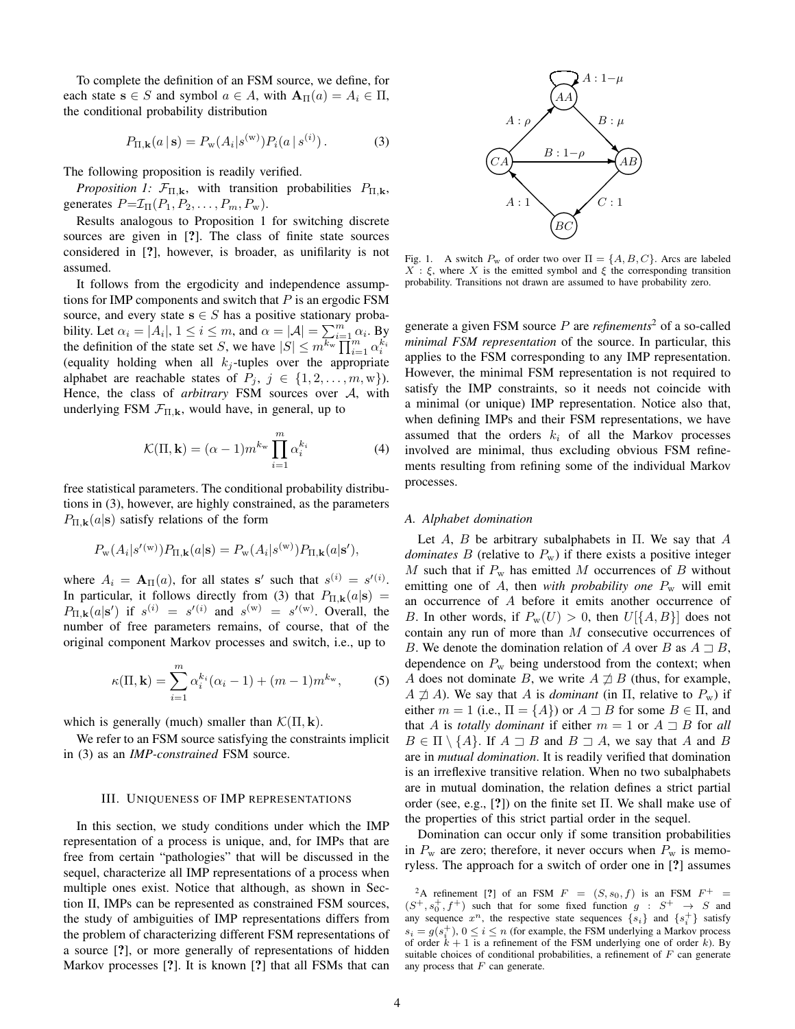To complete the definition of an FSM source, we define, for each state  $s \in S$  and symbol  $a \in A$ , with  $A_{\Pi}(a) = A_i \in \Pi$ , the conditional probability distribution

$$
P_{\Pi, \mathbf{k}}(a \,|\, \mathbf{s}) = P_{\mathbf{w}}(A_i|s^{(\mathbf{w})}) P_i(a \,|\, s^{(i)})\,. \tag{3}
$$

The following proposition is readily verified.

*Proposition 1:*  $\mathcal{F}_{\Pi,\mathbf{k}}$ , with transition probabilities  $P_{\Pi,\mathbf{k}}$ , generates  $P = \mathcal{I}_{\Pi}(P_1, P_2, \dots, P_m, P_w)$ .

Results analogous to Proposition 1 for switching discrete sources are given in [?]. The class of finite state sources considered in [?], however, is broader, as unifilarity is not assumed.

It follows from the ergodicity and independence assumptions for IMP components and switch that  $P$  is an ergodic FSM source, and every state  $s \in S$  has a positive stationary probability. Let  $\alpha_i = |A_i|, 1 \le i \le m$ , and  $\alpha = |\mathcal{A}| = \sum_{i=1}^{m} \alpha_i$ . By the definition of the state set S, we have  $|S| \le m^{\overline{k_w}} \prod_{i=1}^{n} \alpha_i^{\overline{k_i}}$ (equality holding when all  $k_j$ -tuples over the appropriate alphabet are reachable states of  $P_j$ ,  $j \in \{1, 2, ..., m, w\}$ . Hence, the class of *arbitrary* FSM sources over A, with underlying FSM  $\mathcal{F}_{\Pi,k}$ , would have, in general, up to

$$
\mathcal{K}(\Pi, \mathbf{k}) = (\alpha - 1)m^{k_{\rm w}} \prod_{i=1}^{m} \alpha_i^{k_i}
$$
 (4)

free statistical parameters. The conditional probability distributions in (3), however, are highly constrained, as the parameters  $P_{\Pi,\mathbf{k}}(a|\mathbf{s})$  satisfy relations of the form

$$
P_{\mathbf{w}}(A_i|s'(\mathbf{w}))P_{\Pi,\mathbf{k}}(a|\mathbf{s}) = P_{\mathbf{w}}(A_i|s^{(\mathbf{w})})P_{\Pi,\mathbf{k}}(a|\mathbf{s}'),
$$

where  $A_i = \mathbf{A}_{\Pi}(a)$ , for all states s' such that  $s^{(i)} = s^{(i)}$ . In particular, it follows directly from (3) that  $P_{\Pi,\mathbf{k}}(a|\mathbf{s}) =$  $P_{\Pi,\mathbf{k}}(a|\mathbf{s}')$  if  $s^{(i)} = s'(i)$  and  $s^{(\text{w})} = s'(\text{w})$ . Overall, the number of free parameters remains, of course, that of the original component Markov processes and switch, i.e., up to

$$
\kappa(\Pi, \mathbf{k}) = \sum_{i=1}^{m} \alpha_i^{k_i} (\alpha_i - 1) + (m - 1)m^{k_w},
$$
 (5)

which is generally (much) smaller than  $\mathcal{K}(\Pi, \mathbf{k})$ .

We refer to an FSM source satisfying the constraints implicit in (3) as an *IMP-constrained* FSM source.

## III. UNIQUENESS OF IMP REPRESENTATIONS

In this section, we study conditions under which the IMP representation of a process is unique, and, for IMPs that are free from certain "pathologies" that will be discussed in the sequel, characterize all IMP representations of a process when multiple ones exist. Notice that although, as shown in Section II, IMPs can be represented as constrained FSM sources, the study of ambiguities of IMP representations differs from the problem of characterizing different FSM representations of a source [?], or more generally of representations of hidden Markov processes [?]. It is known [?] that all FSMs that can



Fig. 1. A switch  $P_w$  of order two over  $\Pi = \{A, B, C\}$ . Arcs are labeled  $X$ : ξ, where X is the emitted symbol and ξ the corresponding transition probability. Transitions not drawn are assumed to have probability zero.

generate a given FSM source P are *refinements*<sup>2</sup> of a so-called *minimal FSM representation* of the source. In particular, this applies to the FSM corresponding to any IMP representation. However, the minimal FSM representation is not required to satisfy the IMP constraints, so it needs not coincide with a minimal (or unique) IMP representation. Notice also that, when defining IMPs and their FSM representations, we have assumed that the orders  $k_i$  of all the Markov processes involved are minimal, thus excluding obvious FSM refinements resulting from refining some of the individual Markov processes.

## *A. Alphabet domination*

Let A, B be arbitrary subalphabets in  $\Pi$ . We say that A *dominates*  $B$  (relative to  $P_w$ ) if there exists a positive integer M such that if  $P_w$  has emitted M occurrences of B without emitting one of A, then *with probability one*  $P_w$  will emit an occurrence of A before it emits another occurrence of B. In other words, if  $P_w(U) > 0$ , then  $U[\{A, B\}]$  does not contain any run of more than M consecutive occurrences of B. We denote the domination relation of A over B as  $A \sqsupset B$ , dependence on  $P_w$  being understood from the context; when A does not dominate B, we write  $A \not\supseteq B$  (thus, for example,  $A \not\supseteq A$ ). We say that A is *dominant* (in  $\Pi$ , relative to  $P_w$ ) if either  $m = 1$  (i.e.,  $\Pi = \{A\}$ ) or  $A \sqsupseteq B$  for some  $B \in \Pi$ , and that A is *totally dominant* if either  $m = 1$  or  $A \supseteq B$  for all  $B \in \Pi \setminus \{A\}$ . If  $A \sqsupset B$  and  $B \sqsupset A$ , we say that A and B are in *mutual domination*. It is readily verified that domination is an irreflexive transitive relation. When no two subalphabets are in mutual domination, the relation defines a strict partial order (see, e.g., [?]) on the finite set Π. We shall make use of the properties of this strict partial order in the sequel.

Domination can occur only if some transition probabilities in  $P_w$  are zero; therefore, it never occurs when  $P_w$  is memoryless. The approach for a switch of order one in [?] assumes

<sup>&</sup>lt;sup>2</sup>A refinement [?] of an FSM  $F = (S, s_0, f)$  is an FSM  $F^+ =$  $(S^+, s_0^+, f^+)$  such that for some fixed function  $g : S^+ \rightarrow S$  and any sequence  $x^n$ , the respective state sequences  $\{s_i\}$  and  $\{s_i^+\}$  satisfy  $s_i = g(s_i^+)$ ,  $0 \le i \le n$  (for example, the FSM underlying a Markov process of order  $k + 1$  is a refinement of the FSM underlying one of order k). By suitable choices of conditional probabilities, a refinement of  $F$  can generate any process that  $F$  can generate.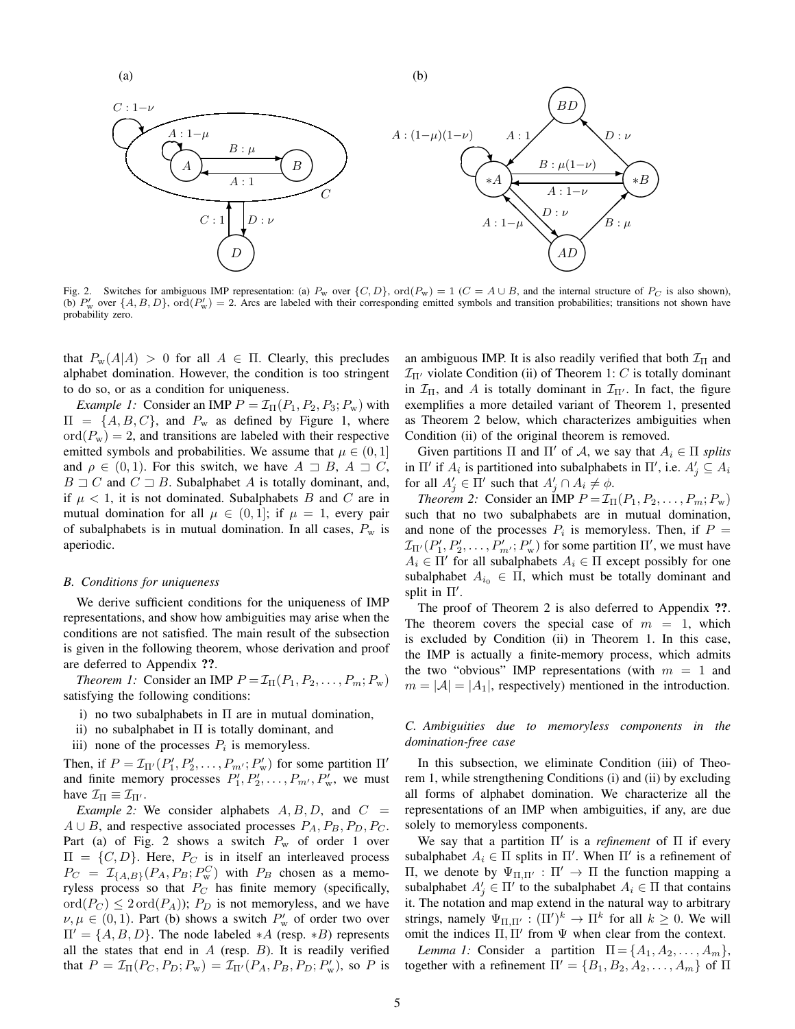(a)

(b)



Fig. 2. Switches for ambiguous IMP representation: (a)  $P_w$  over  $\{C, D\}$ , ord $(P_w) = 1$  ( $C = A \cup B$ , and the internal structure of  $P_C$  is also shown), (b)  $P'_w$  over  $\{A, B, D\}$ , ord $(P'_w) = 2$ . Arcs are labeled with their corresponding emitted symbols and transition probabilities; transitions not shown have probability zero.

that  $P_w(A|A) > 0$  for all  $A \in \Pi$ . Clearly, this precludes alphabet domination. However, the condition is too stringent to do so, or as a condition for uniqueness.

*Example 1:* Consider an IMP  $P = \mathcal{I}_{\Pi}(P_1, P_2, P_3; P_w)$  with  $\Pi = \{A, B, C\}$ , and  $P_w$  as defined by Figure 1, where  $\text{ord}(P_w) = 2$ , and transitions are labeled with their respective emitted symbols and probabilities. We assume that  $\mu \in (0, 1]$ and  $\rho \in (0, 1)$ . For this switch, we have  $A \supseteq B$ ,  $A \supseteq C$ ,  $B \sqsupset C$  and  $C \sqsupset B$ . Subalphabet A is totally dominant, and, if  $\mu$  < 1, it is not dominated. Subalphabets B and C are in mutual domination for all  $\mu \in (0,1]$ ; if  $\mu = 1$ , every pair of subalphabets is in mutual domination. In all cases,  $P_w$  is aperiodic.

## *B. Conditions for uniqueness*

We derive sufficient conditions for the uniqueness of IMP representations, and show how ambiguities may arise when the conditions are not satisfied. The main result of the subsection is given in the following theorem, whose derivation and proof are deferred to Appendix ??.

*Theorem 1:* Consider an IMP  $P = \mathcal{I}_{\Pi}(P_1, P_2, \ldots, P_m; P_w)$ satisfying the following conditions:

- i) no two subalphabets in  $\Pi$  are in mutual domination,
- ii) no subalphabet in  $\Pi$  is totally dominant, and
- iii) none of the processes  $P_i$  is memoryless.

Then, if  $P = \mathcal{I}_{\Pi'}(P'_1, P'_2, \dots, P_{m'}; P'_w)$  for some partition  $\Pi'$ and finite memory processes  $P'_1, P'_2, \ldots, P_{m'}$ ,  $P'_w$ , we must have  $\mathcal{I}_{\Pi} \equiv \mathcal{I}_{\Pi'}$ .

*Example 2:* We consider alphabets  $A, B, D$ , and  $C =$  $A \cup B$ , and respective associated processes  $P_A, P_B, P_D, P_C$ . Part (a) of Fig. 2 shows a switch  $P_w$  of order 1 over  $\Pi = \{C, D\}$ . Here,  $P_C$  is in itself an interleaved process  $P_C = \mathcal{I}_{\{A,B\}}(P_A, P_B; P_w^C)$  with  $P_B$  chosen as a memoryless process so that  $P_C$  has finite memory (specifically,  $\text{ord}(P_C) \leq 2 \text{ ord}(P_A)$ ;  $P_D$  is not memoryless, and we have  $\nu, \mu \in (0, 1)$ . Part (b) shows a switch  $P'_{\rm w}$  of order two over  $\Pi' = \{A, B, D\}$ . The node labeled \*A (resp. \*B) represents all the states that end in  $A$  (resp.  $B$ ). It is readily verified that  $P = \mathcal{I}_{\Pi}(P_C, P_D; P_w) = \mathcal{I}_{\Pi'}(P_A, P_B, P_D; P'_w)$ , so P is

an ambiguous IMP. It is also readily verified that both  $\mathcal{I}_{\Pi}$  and  $\mathcal{I}_{\Pi'}$  violate Condition (ii) of Theorem 1: C is totally dominant in  $\mathcal{I}_{\Pi}$ , and A is totally dominant in  $\mathcal{I}_{\Pi'}$ . In fact, the figure exemplifies a more detailed variant of Theorem 1, presented as Theorem 2 below, which characterizes ambiguities when Condition (ii) of the original theorem is removed.

Given partitions  $\Pi$  and  $\Pi'$  of A, we say that  $A_i \in \Pi$  *splits* in  $\Pi'$  if  $A_i$  is partitioned into subalphabets in  $\Pi'$ , i.e.  $A'_j \subseteq A_i$ for all  $A'_j \in \Pi'$  such that  $A'_j \cap A_i \neq \emptyset$ .

*Theorem 2:* Consider an IMP  $P = \mathcal{I}_{\Pi}(P_1, P_2, \dots, P_m; P_w)$ such that no two subalphabets are in mutual domination, and none of the processes  $P_i$  is memoryless. Then, if  $P =$  $\mathcal{I}_{\Pi'}(P'_1, P'_2, \ldots, P'_{m'}; P'_w)$  for some partition  $\Pi'$ , we must have  $A_i \in \Pi'$  for all subalphabets  $A_i \in \Pi$  except possibly for one subalphabet  $A_{i_0} \in \Pi$ , which must be totally dominant and split in  $\Pi'$ .

The proof of Theorem 2 is also deferred to Appendix ??. The theorem covers the special case of  $m = 1$ , which is excluded by Condition (ii) in Theorem 1. In this case, the IMP is actually a finite-memory process, which admits the two "obvious" IMP representations (with  $m = 1$  and  $m = |\mathcal{A}| = |A_1|$ , respectively) mentioned in the introduction.

*C. Ambiguities due to memoryless components in the domination-free case*

In this subsection, we eliminate Condition (iii) of Theorem 1, while strengthening Conditions (i) and (ii) by excluding all forms of alphabet domination. We characterize all the representations of an IMP when ambiguities, if any, are due solely to memoryless components.

We say that a partition Π' is a *refinement* of Π if every subalphabet  $A_i \in \Pi$  splits in  $\Pi'$ . When  $\Pi'$  is a refinement of Π, we denote by  $\Psi_{\Pi,\Pi'} : \Pi' \to \Pi$  the function mapping a subalphabet  $A'_j \in \Pi'$  to the subalphabet  $A_i \in \Pi$  that contains it. The notation and map extend in the natural way to arbitrary strings, namely  $\Psi_{\Pi,\Pi'} : (\Pi')^k \to \Pi^k$  for all  $k \geq 0$ . We will omit the indices  $\Pi$ ,  $\Pi'$  from  $\Psi$  when clear from the context.

*Lemma 1:* Consider a partition  $\Pi = \{A_1, A_2, \ldots, A_m\},\$ together with a refinement  $\Pi' = \{B_1, B_2, A_2, \ldots, A_m\}$  of  $\Pi$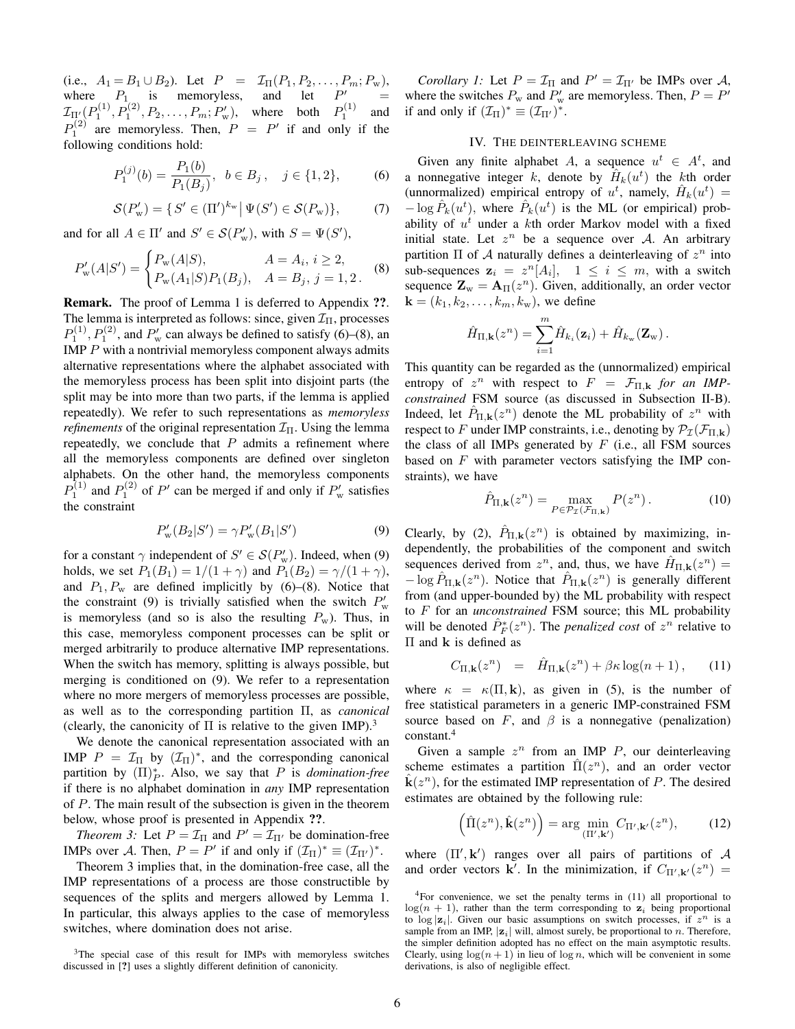(i.e.,  $A_1 = B_1 \cup B_2$ ). Let  $P = \mathcal{I}_{\Pi}(P_1, P_2, \dots, P_m; P_w)$ , where  $P_1$  is memoryless, and let  $P'_1$  $\prime$  =  $\mathcal{I}_{\Pi'_{2}}(P_1^{(1)},P_1^{(2)},P_2,\ldots,P_m;P'_w)$ , where both  $P_1^{(1)}$  and  $P_1^{(2)}$  are memoryless. Then,  $P = P'$  if and only if the following conditions hold:

$$
P_1^{(j)}(b) = \frac{P_1(b)}{P_1(B_j)}, \ b \in B_j, \quad j \in \{1, 2\},\tag{6}
$$

$$
\mathcal{S}(P'_w) = \{ S' \in (\Pi')^{k_w} \, | \, \Psi(S') \in \mathcal{S}(P_w) \},\tag{7}
$$

and for all  $A \in \Pi'$  and  $S' \in \mathcal{S}(P'_{\rm w})$ , with  $S = \Psi(S')$ ,

$$
P'_{\mathbf{w}}(A|S') = \begin{cases} P_{\mathbf{w}}(A|S), & A = A_i, i \ge 2, \\ P_{\mathbf{w}}(A_1|S)P_1(B_j), & A = B_j, j = 1, 2. \end{cases}
$$
 (8)

Remark. The proof of Lemma 1 is deferred to Appendix ??. The lemma is interpreted as follows: since, given  $\mathcal{I}_{\Pi}$ , processes  $P_1^{(1)}$ ,  $P_1^{(2)}$ , and  $P_w'$  can always be defined to satisfy (6)–(8), an IMP  $P$  with a nontrivial memoryless component always admits alternative representations where the alphabet associated with the memoryless process has been split into disjoint parts (the split may be into more than two parts, if the lemma is applied repeatedly). We refer to such representations as *memoryless refinements* of the original representation  $\mathcal{I}_{\Pi}$ . Using the lemma repeatedly, we conclude that  $P$  admits a refinement where all the memoryless components are defined over singleton alphabets. On the other hand, the memoryless components  $P_1^{(1)}$  and  $P_1^{(2)}$  of P' can be merged if and only if  $P'_w$  satisfies the constraint

$$
P'_{\rm w}(B_2|S') = \gamma P'_{\rm w}(B_1|S')
$$
 (9)

for a constant  $\gamma$  independent of  $S' \in \mathcal{S}(P'_{w})$ . Indeed, when (9) holds, we set  $P_1(B_1) = 1/(1+\gamma)$  and  $P_1(B_2) = \gamma/(1+\gamma)$ , and  $P_1, P_w$  are defined implicitly by (6)–(8). Notice that the constraint (9) is trivially satisfied when the switch  $P'_{\text{w}}$ is memoryless (and so is also the resulting  $P_w$ ). Thus, in this case, memoryless component processes can be split or merged arbitrarily to produce alternative IMP representations. When the switch has memory, splitting is always possible, but merging is conditioned on (9). We refer to a representation where no more mergers of memoryless processes are possible, as well as to the corresponding partition Π, as *canonical* (clearly, the canonicity of  $\Pi$  is relative to the given IMP).<sup>3</sup>

We denote the canonical representation associated with an IMP  $P = \mathcal{I}_{II}$  by  $(\mathcal{I}_{II})^*$ , and the corresponding canonical partition by  $(\Pi)_P^*$ . Also, we say that P is *domination-free* if there is no alphabet domination in *any* IMP representation of P. The main result of the subsection is given in the theorem below, whose proof is presented in Appendix ??.

*Theorem 3:* Let  $P = \mathcal{I}_{\Pi}$  and  $P' = \mathcal{I}_{\Pi'}$  be domination-free IMPs over A. Then,  $P = P'$  if and only if  $(\mathcal{I}_{\Pi})^* \equiv (\mathcal{I}_{\Pi'})^*$ .

Theorem 3 implies that, in the domination-free case, all the IMP representations of a process are those constructible by sequences of the splits and mergers allowed by Lemma 1. In particular, this always applies to the case of memoryless switches, where domination does not arise.

*Corollary 1:* Let  $P = \mathcal{I}_{\Pi}$  and  $P' = \mathcal{I}_{\Pi'}$  be IMPs over A, where the switches  $P_w$  and  $P'_w$  are memoryless. Then,  $P = P'$ if and only if  $(\mathcal{I}_{\Pi})^* \equiv (\mathcal{I}_{\Pi'})^*$ .

## IV. THE DEINTERLEAVING SCHEME

Given any finite alphabet A, a sequence  $u^t \in A^t$ , and a nonnegative integer k, denote by  $\hat{H}_k(u^t)$  the kth order (unnormalized) empirical entropy of  $u^t$ , namely,  $\hat{H}_k(u^t)$  =  $-\log \hat{P}_k(u^t)$ , where  $\hat{P}_k(u^t)$  is the ML (or empirical) probability of  $u^t$  under a kth order Markov model with a fixed initial state. Let  $z^n$  be a sequence over A. An arbitrary partition  $\Pi$  of  $A$  naturally defines a deinterleaving of  $z^n$  into sub-sequences  $z_i = z^n[A_i], \quad 1 \leq i \leq m$ , with a switch sequence  $\mathbf{Z}_{w} = \mathbf{A}_{\Pi}(z^n)$ . Given, additionally, an order vector  ${\bf k} = (k_1, k_2, \dots, k_m, k_w)$ , we define

$$
\hat{H}_{\Pi,\mathbf{k}}(z^n) = \sum_{i=1}^m \hat{H}_{k_i}(\mathbf{z}_i) + \hat{H}_{k_{\mathrm{w}}}(\mathbf{Z}_{\mathrm{w}}).
$$

This quantity can be regarded as the (unnormalized) empirical entropy of  $z^n$  with respect to  $F = \mathcal{F}_{\Pi,\mathbf{k}}$  *for an IMPconstrained* FSM source (as discussed in Subsection II-B). Indeed, let  $\hat{P}_{\Pi,\mathbf{k}}(z^n)$  denote the ML probability of  $z^n$  with respect to F under IMP constraints, i.e., denoting by  $\mathcal{P}_{\mathcal{I}}(\mathcal{F}_{\Pi,k})$ the class of all IMPs generated by  $F$  (i.e., all FSM sources based on  $F$  with parameter vectors satisfying the IMP constraints), we have

$$
\hat{P}_{\Pi,\mathbf{k}}(z^n) = \max_{P \in \mathcal{P}_{\mathcal{I}}(\mathcal{F}_{\Pi,\mathbf{k}})} P(z^n).
$$
 (10)

Clearly, by (2),  $\hat{P}_{\Pi,\mathbf{k}}(z^n)$  is obtained by maximizing, independently, the probabilities of the component and switch sequences derived from  $z^n$ , and, thus, we have  $\hat{H}_{\Pi,\mathbf{k}}(z^n) =$  $-\log \hat{P}_{\Pi,\mathbf{k}}(z^n)$ . Notice that  $\hat{P}_{\Pi,\mathbf{k}}(z^n)$  is generally different from (and upper-bounded by) the ML probability with respect to F for an *unconstrained* FSM source; this ML probability will be denoted  $\hat{P}_F^*(z^n)$ . The *penalized cost* of  $z^n$  relative to Π and k is defined as

$$
C_{\Pi,\mathbf{k}}(z^n) = \hat{H}_{\Pi,\mathbf{k}}(z^n) + \beta \kappa \log(n+1), \qquad (11)
$$

where  $\kappa = \kappa(\Pi, \mathbf{k})$ , as given in (5), is the number of free statistical parameters in a generic IMP-constrained FSM source based on  $F$ , and  $\beta$  is a nonnegative (penalization) constant.<sup>4</sup>

Given a sample  $z^n$  from an IMP  $P$ , our deinterleaving scheme estimates a partition  $\hat{\Pi}(z^n)$ , and an order vector  $\hat{\mathbf{k}}(z^n)$ , for the estimated IMP representation of P. The desired estimates are obtained by the following rule:

$$
\left(\hat{\Pi}(z^n), \hat{\mathbf{k}}(z^n)\right) = \arg\min_{\left(\Pi', \mathbf{k'}\right)} C_{\Pi', \mathbf{k'}}(z^n),\tag{12}
$$

where  $(\Pi', \mathbf{k}')$  ranges over all pairs of partitions of A and order vectors **k**'. In the minimization, if  $C_{\Pi',\mathbf{k'}}(z^n)$  =

<sup>&</sup>lt;sup>3</sup>The special case of this result for IMPs with memoryless switches discussed in [?] uses a slightly different definition of canonicity.

<sup>4</sup>For convenience, we set the penalty terms in (11) all proportional to  $log(n + 1)$ , rather than the term corresponding to  $z_i$  being proportional to  $\log |z_i|$ . Given our basic assumptions on switch processes, if  $z^n$  is a sample from an IMP,  $|z_i|$  will, almost surely, be proportional to n. Therefore, the simpler definition adopted has no effect on the main asymptotic results. Clearly, using  $\log(n + 1)$  in lieu of  $\log n$ , which will be convenient in some derivations, is also of negligible effect.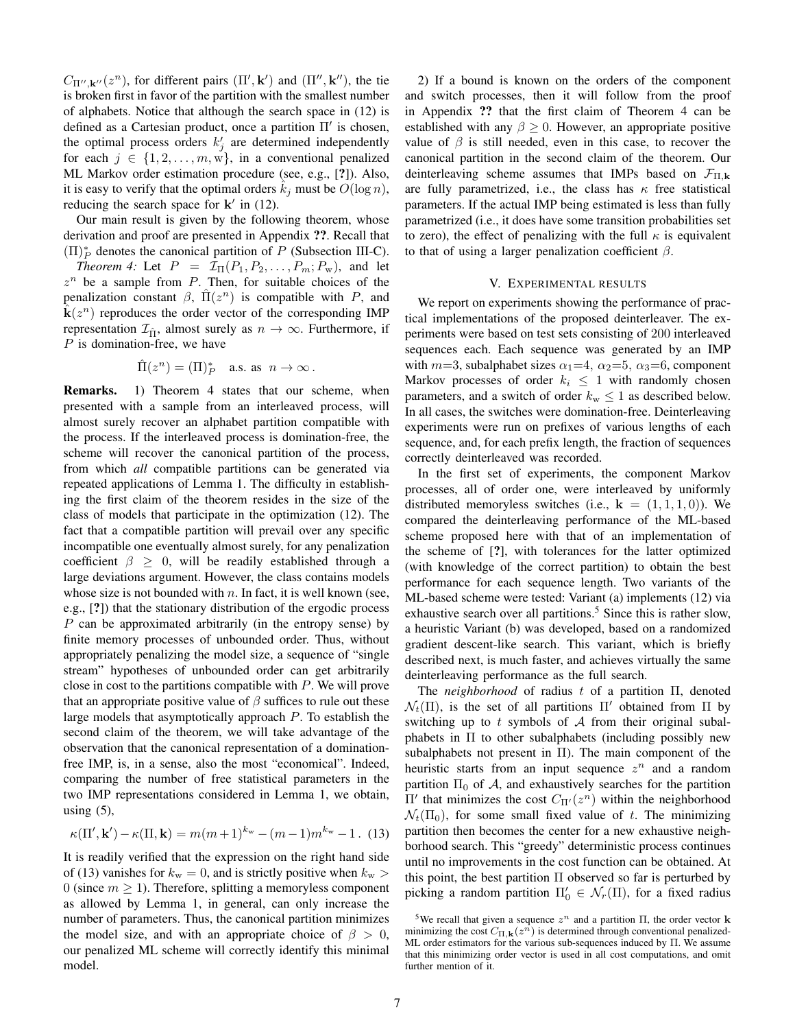$C_{\Pi'',\mathbf{k}''}(z^n)$ , for different pairs  $(\Pi',\mathbf{k}')$  and  $(\Pi'',\mathbf{k}'')$ , the tie is broken first in favor of the partition with the smallest number of alphabets. Notice that although the search space in (12) is defined as a Cartesian product, once a partition  $\Pi'$  is chosen, the optimal process orders  $k'_j$  are determined independently for each  $j \in \{1, 2, \ldots, m, w\}$ , in a conventional penalized ML Markov order estimation procedure (see, e.g., [?]). Also, it is easy to verify that the optimal orders  $k_i$  must be  $O(\log n)$ , reducing the search space for  $k'$  in (12).

Our main result is given by the following theorem, whose derivation and proof are presented in Appendix ??. Recall that  $(\Pi)_P^*$  denotes the canonical partition of P (Subsection III-C).

*Theorem 4:* Let  $P = \mathcal{I}_{\Pi}(P_1, P_2, \dots, P_m; P_w)$ , and let  $z^n$  be a sample from  $P$ . Then, for suitable choices of the penalization constant  $\beta$ ,  $\hat{\Pi}(z^n)$  is compatible with P, and  $\hat{k}(z^n)$  reproduces the order vector of the corresponding IMP representation  $\mathcal{I}_{\hat{\Pi}}$ , almost surely as  $n \to \infty$ . Furthermore, if  $P$  is domination-free, we have

$$
\hat{\Pi}(z^n)=(\Pi)_P^*\quad\text{a.s. as }\ n\to\infty\,.
$$

Remarks. 1) Theorem 4 states that our scheme, when presented with a sample from an interleaved process, will almost surely recover an alphabet partition compatible with the process. If the interleaved process is domination-free, the scheme will recover the canonical partition of the process, from which *all* compatible partitions can be generated via repeated applications of Lemma 1. The difficulty in establishing the first claim of the theorem resides in the size of the class of models that participate in the optimization (12). The fact that a compatible partition will prevail over any specific incompatible one eventually almost surely, for any penalization coefficient  $\beta \geq 0$ , will be readily established through a large deviations argument. However, the class contains models whose size is not bounded with  $n$ . In fact, it is well known (see, e.g., [?]) that the stationary distribution of the ergodic process P can be approximated arbitrarily (in the entropy sense) by finite memory processes of unbounded order. Thus, without appropriately penalizing the model size, a sequence of "single stream" hypotheses of unbounded order can get arbitrarily close in cost to the partitions compatible with  $P$ . We will prove that an appropriate positive value of  $\beta$  suffices to rule out these large models that asymptotically approach P. To establish the second claim of the theorem, we will take advantage of the observation that the canonical representation of a dominationfree IMP, is, in a sense, also the most "economical". Indeed, comparing the number of free statistical parameters in the two IMP representations considered in Lemma 1, we obtain, using  $(5)$ ,

$$
\kappa(\Pi',\mathbf{k}') - \kappa(\Pi,\mathbf{k}) = m(m+1)^{k_{\rm w}} - (m-1)m^{k_{\rm w}} - 1.
$$
 (13)

It is readily verified that the expression on the right hand side of (13) vanishes for  $k_w = 0$ , and is strictly positive when  $k_w >$ 0 (since  $m \ge 1$ ). Therefore, splitting a memoryless component as allowed by Lemma 1, in general, can only increase the number of parameters. Thus, the canonical partition minimizes the model size, and with an appropriate choice of  $\beta > 0$ , our penalized ML scheme will correctly identify this minimal model.

2) If a bound is known on the orders of the component and switch processes, then it will follow from the proof in Appendix ?? that the first claim of Theorem 4 can be established with any  $\beta \geq 0$ . However, an appropriate positive value of  $\beta$  is still needed, even in this case, to recover the canonical partition in the second claim of the theorem. Our deinterleaving scheme assumes that IMPs based on  $\mathcal{F}_{\Pi,k}$ are fully parametrized, i.e., the class has  $\kappa$  free statistical parameters. If the actual IMP being estimated is less than fully parametrized (i.e., it does have some transition probabilities set to zero), the effect of penalizing with the full  $\kappa$  is equivalent to that of using a larger penalization coefficient  $\beta$ .

## V. EXPERIMENTAL RESULTS

We report on experiments showing the performance of practical implementations of the proposed deinterleaver. The experiments were based on test sets consisting of 200 interleaved sequences each. Each sequence was generated by an IMP with  $m=3$ , subalphabet sizes  $\alpha_1=4$ ,  $\alpha_2=5$ ,  $\alpha_3=6$ , component Markov processes of order  $k_i \leq 1$  with randomly chosen parameters, and a switch of order  $k_{\rm w} \leq 1$  as described below. In all cases, the switches were domination-free. Deinterleaving experiments were run on prefixes of various lengths of each sequence, and, for each prefix length, the fraction of sequences correctly deinterleaved was recorded.

In the first set of experiments, the component Markov processes, all of order one, were interleaved by uniformly distributed memoryless switches (i.e.,  $\mathbf{k} = (1, 1, 1, 0)$ ). We compared the deinterleaving performance of the ML-based scheme proposed here with that of an implementation of the scheme of [?], with tolerances for the latter optimized (with knowledge of the correct partition) to obtain the best performance for each sequence length. Two variants of the ML-based scheme were tested: Variant (a) implements (12) via exhaustive search over all partitions.<sup>5</sup> Since this is rather slow, a heuristic Variant (b) was developed, based on a randomized gradient descent-like search. This variant, which is briefly described next, is much faster, and achieves virtually the same deinterleaving performance as the full search.

The *neighborhood* of radius t of a partition Π, denoted  $\mathcal{N}_t(\Pi)$ , is the set of all partitions  $\Pi'$  obtained from  $\Pi$  by switching up to t symbols of  $A$  from their original subalphabets in Π to other subalphabets (including possibly new subalphabets not present in  $\Pi$ ). The main component of the heuristic starts from an input sequence  $z^n$  and a random partition  $\Pi_0$  of A, and exhaustively searches for the partition  $\Pi'$  that minimizes the cost  $C_{\Pi'}(z^n)$  within the neighborhood  $\mathcal{N}_t(\Pi_0)$ , for some small fixed value of t. The minimizing partition then becomes the center for a new exhaustive neighborhood search. This "greedy" deterministic process continues until no improvements in the cost function can be obtained. At this point, the best partition  $\Pi$  observed so far is perturbed by picking a random partition  $\Pi'_0 \in \mathcal{N}_r(\Pi)$ , for a fixed radius

<sup>&</sup>lt;sup>5</sup>We recall that given a sequence  $z^n$  and a partition  $\Pi$ , the order vector **k** minimizing the cost  $C_{\Pi,\mathbf{k}}(z^n)$  is determined through conventional penalized-ML order estimators for the various sub-sequences induced by Π. We assume that this minimizing order vector is used in all cost computations, and omit further mention of it.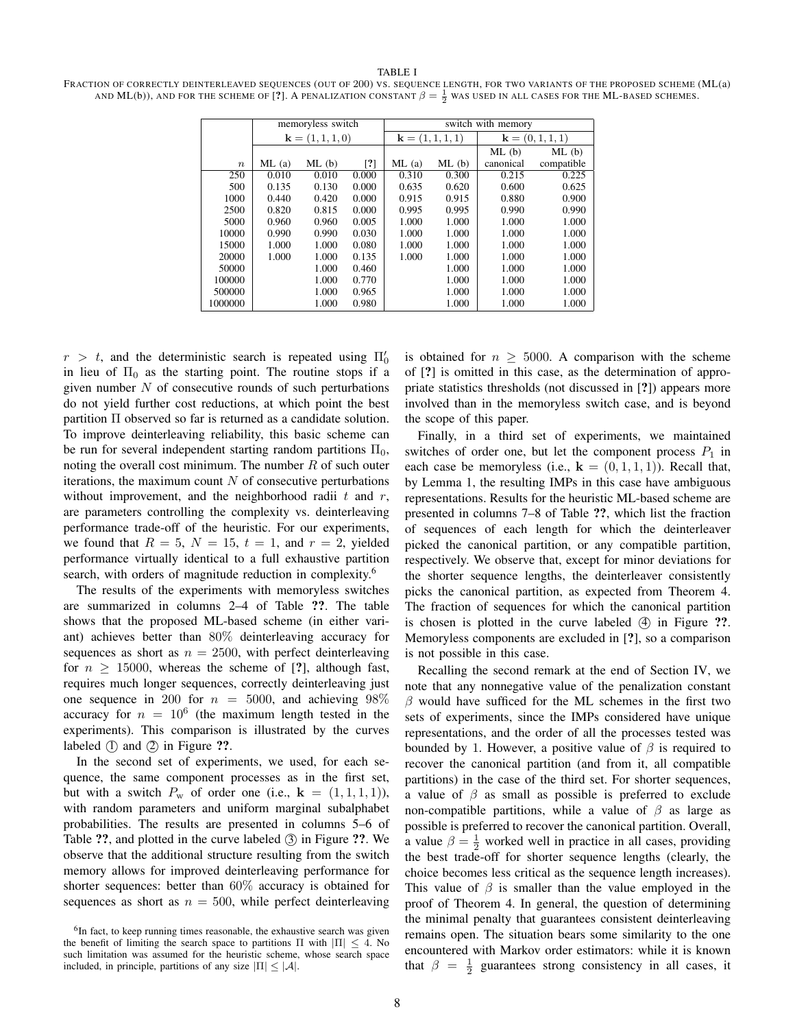#### TABLE I

FRACTION OF CORRECTLY DEINTERLEAVED SEQUENCES (OUT OF 200) VS. SEQUENCE LENGTH, FOR TWO VARIANTS OF THE PROPOSED SCHEME (ML(a) AND ML(b)), AND FOR THE SCHEME OF [?]. A PENALIZATION CONSTANT  $\beta=\frac{1}{2}$  was used in all cases for the ML-based schemes.

|                  | memoryless switch        |       |                   | switch with memory       |       |                     |            |
|------------------|--------------------------|-------|-------------------|--------------------------|-------|---------------------|------------|
|                  | ${\bf k} = (1, 1, 1, 0)$ |       |                   | ${\bf k} = (1, 1, 1, 1)$ |       | ${\bf k}=(0,1,1,1)$ |            |
|                  |                          |       |                   |                          |       | ML(b)               | ML(b)      |
| $\boldsymbol{n}$ | ML(a)                    | ML(b) | $\lceil ? \rceil$ | ML(a)                    | ML(b) | canonical           | compatible |
| 250              | 0.010                    | 0.010 | 0.000             | 0.310                    | 0.300 | 0.215               | 0.225      |
| 500              | 0.135                    | 0.130 | 0.000             | 0.635                    | 0.620 | 0.600               | 0.625      |
| 1000             | 0.440                    | 0.420 | 0.000             | 0.915                    | 0.915 | 0.880               | 0.900      |
| 2500             | 0.820                    | 0.815 | 0.000             | 0.995                    | 0.995 | 0.990               | 0.990      |
| 5000             | 0.960                    | 0.960 | 0.005             | 1.000                    | 1.000 | 1.000               | 1.000      |
| 10000            | 0.990                    | 0.990 | 0.030             | 1.000                    | 1.000 | 1.000               | 1.000      |
| 15000            | 1.000                    | 1.000 | 0.080             | 1.000                    | 1.000 | 1.000               | 1.000      |
| 20000            | 1.000                    | 1.000 | 0.135             | 1.000                    | 1.000 | 1.000               | 1.000      |
| 50000            |                          | 1.000 | 0.460             |                          | 1.000 | 1.000               | 1.000      |
| 100000           |                          | 1.000 | 0.770             |                          | 1.000 | 1.000               | 1.000      |
| 500000           |                          | 1.000 | 0.965             |                          | 1.000 | 1.000               | 1.000      |
| 1000000          |                          | 1.000 | 0.980             |                          | 1.000 | 1.000               | 1.000      |

 $r > t$ , and the deterministic search is repeated using  $\Pi'_0$ in lieu of  $\Pi_0$  as the starting point. The routine stops if a given number  $N$  of consecutive rounds of such perturbations do not yield further cost reductions, at which point the best partition Π observed so far is returned as a candidate solution. To improve deinterleaving reliability, this basic scheme can be run for several independent starting random partitions  $\Pi_0$ , noting the overall cost minimum. The number  $R$  of such outer iterations, the maximum count  $N$  of consecutive perturbations without improvement, and the neighborhood radii  $t$  and  $r$ , are parameters controlling the complexity vs. deinterleaving performance trade-off of the heuristic. For our experiments, we found that  $R = 5$ ,  $N = 15$ ,  $t = 1$ , and  $r = 2$ , yielded performance virtually identical to a full exhaustive partition search, with orders of magnitude reduction in complexity.<sup>6</sup>

The results of the experiments with memoryless switches are summarized in columns 2–4 of Table ??. The table shows that the proposed ML-based scheme (in either variant) achieves better than 80% deinterleaving accuracy for sequences as short as  $n = 2500$ , with perfect deinterleaving for  $n > 15000$ , whereas the scheme of [?], although fast, requires much longer sequences, correctly deinterleaving just one sequence in 200 for  $n = 5000$ , and achieving 98% accuracy for  $n = 10^6$  (the maximum length tested in the experiments). This comparison is illustrated by the curves labeled  $(1)$  and  $(2)$  in Figure ??.

In the second set of experiments, we used, for each sequence, the same component processes as in the first set, but with a switch  $P_w$  of order one (i.e.,  $\mathbf{k} = (1, 1, 1, 1)$ ), with random parameters and uniform marginal subalphabet probabilities. The results are presented in columns 5–6 of Table ??, and plotted in the curve labeled 3 in Figure ??. We observe that the additional structure resulting from the switch memory allows for improved deinterleaving performance for shorter sequences: better than 60% accuracy is obtained for sequences as short as  $n = 500$ , while perfect deinterleaving is obtained for  $n \geq 5000$ . A comparison with the scheme of [?] is omitted in this case, as the determination of appropriate statistics thresholds (not discussed in [?]) appears more involved than in the memoryless switch case, and is beyond the scope of this paper.

Finally, in a third set of experiments, we maintained switches of order one, but let the component process  $P_1$  in each case be memoryless (i.e.,  $\mathbf{k} = (0, 1, 1, 1)$ ). Recall that, by Lemma 1, the resulting IMPs in this case have ambiguous representations. Results for the heuristic ML-based scheme are presented in columns 7–8 of Table ??, which list the fraction of sequences of each length for which the deinterleaver picked the canonical partition, or any compatible partition, respectively. We observe that, except for minor deviations for the shorter sequence lengths, the deinterleaver consistently picks the canonical partition, as expected from Theorem 4. The fraction of sequences for which the canonical partition is chosen is plotted in the curve labeled  $(4)$  in Figure  $?$ ?. Memoryless components are excluded in [?], so a comparison is not possible in this case.

Recalling the second remark at the end of Section IV, we note that any nonnegative value of the penalization constant  $\beta$  would have sufficed for the ML schemes in the first two sets of experiments, since the IMPs considered have unique representations, and the order of all the processes tested was bounded by 1. However, a positive value of  $\beta$  is required to recover the canonical partition (and from it, all compatible partitions) in the case of the third set. For shorter sequences, a value of  $\beta$  as small as possible is preferred to exclude non-compatible partitions, while a value of  $\beta$  as large as possible is preferred to recover the canonical partition. Overall, a value  $\beta = \frac{1}{2}$  worked well in practice in all cases, providing the best trade-off for shorter sequence lengths (clearly, the choice becomes less critical as the sequence length increases). This value of  $\beta$  is smaller than the value employed in the proof of Theorem 4. In general, the question of determining the minimal penalty that guarantees consistent deinterleaving remains open. The situation bears some similarity to the one encountered with Markov order estimators: while it is known that  $\beta = \frac{1}{2}$  guarantees strong consistency in all cases, it

<sup>&</sup>lt;sup>6</sup>In fact, to keep running times reasonable, the exhaustive search was given the benefit of limiting the search space to partitions  $\Pi$  with  $|\Pi| \leq 4$ . No such limitation was assumed for the heuristic scheme, whose search space included, in principle, partitions of any size  $|\Pi| \leq |\mathcal{A}|$ .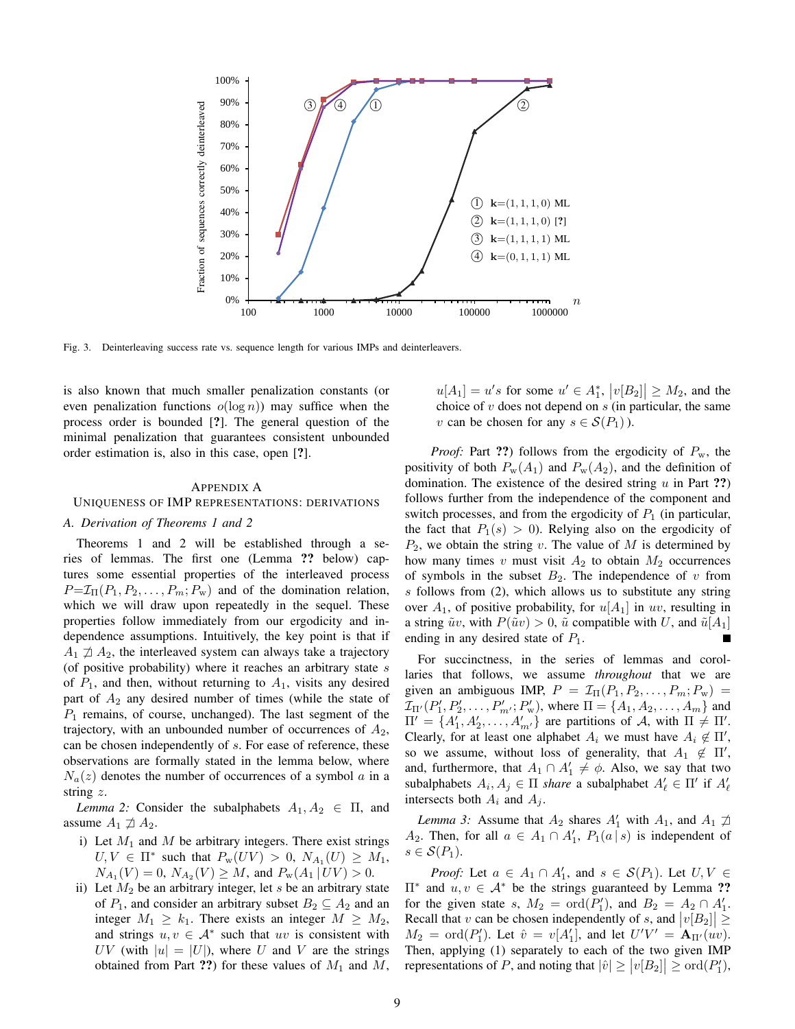

Fig. 3. Deinterleaving success rate vs. sequence length for various IMPs and deinterleavers.

is also known that much smaller penalization constants (or even penalization functions  $o(\log n)$  may suffice when the process order is bounded [?]. The general question of the minimal penalization that guarantees consistent unbounded order estimation is, also in this case, open [?].

## APPENDIX A

# UNIQUENESS OF IMP REPRESENTATIONS: DERIVATIONS

# *A. Derivation of Theorems 1 and 2*

Theorems 1 and 2 will be established through a series of lemmas. The first one (Lemma ?? below) captures some essential properties of the interleaved process  $P=\mathcal{I}_{\Pi}(P_1, P_2, \ldots, P_m; P_w)$  and of the domination relation, which we will draw upon repeatedly in the sequel. These properties follow immediately from our ergodicity and independence assumptions. Intuitively, the key point is that if  $A_1 \not\supseteq A_2$ , the interleaved system can always take a trajectory (of positive probability) where it reaches an arbitrary state  $s$ of  $P_1$ , and then, without returning to  $A_1$ , visits any desired part of  $A_2$  any desired number of times (while the state of  $P_1$  remains, of course, unchanged). The last segment of the trajectory, with an unbounded number of occurrences of  $A_2$ , can be chosen independently of s. For ease of reference, these observations are formally stated in the lemma below, where  $N_a(z)$  denotes the number of occurrences of a symbol a in a string z.

*Lemma 2:* Consider the subalphabets  $A_1, A_2 \in \Pi$ , and assume  $A_1 \not\sqsupseteq A_2$ .

- i) Let  $M_1$  and  $M$  be arbitrary integers. There exist strings  $U, V \in \Pi^*$  such that  $P_w(UV) > 0$ ,  $N_{A_1}(U) \geq M_1$ ,  $N_{A_1}(V) = 0$ ,  $N_{A_2}(V) \ge M$ , and  $P_w(A_1 | UV) > 0$ .
- ii) Let  $M_2$  be an arbitrary integer, let s be an arbitrary state of  $P_1$ , and consider an arbitrary subset  $B_2 \subseteq A_2$  and an integer  $M_1 \geq k_1$ . There exists an integer  $M \geq M_2$ , and strings  $u, v \in A^*$  such that uv is consistent with UV (with  $|u| = |U|$ ), where U and V are the strings obtained from Part ??) for these values of  $M_1$  and  $M$ ,

 $u[A_1] = u's$  for some  $u' \in A_1^*$ ,  $|v[B_2]| \geq M_2$ , and the choice of  $v$  does not depend on  $s$  (in particular, the same v can be chosen for any  $s \in \mathcal{S}(P_1)$ ).

*Proof:* Part ??) follows from the ergodicity of  $P_w$ , the positivity of both  $P_w(A_1)$  and  $P_w(A_2)$ , and the definition of domination. The existence of the desired string  $u$  in Part ??) follows further from the independence of the component and switch processes, and from the ergodicity of  $P_1$  (in particular, the fact that  $P_1(s) > 0$ . Relying also on the ergodicity of  $P_2$ , we obtain the string v. The value of M is determined by how many times v must visit  $A_2$  to obtain  $M_2$  occurrences of symbols in the subset  $B_2$ . The independence of v from  $s$  follows from (2), which allows us to substitute any string over  $A_1$ , of positive probability, for  $u[A_1]$  in uv, resulting in a string  $\tilde{u}v$ , with  $P(\tilde{u}v) > 0$ ,  $\tilde{u}$  compatible with U, and  $\tilde{u}[A_1]$ ending in any desired state of  $P_1$ .

For succinctness, in the series of lemmas and corollaries that follows, we assume *throughout* that we are given an ambiguous IMP,  $P = \mathcal{I}_{\Pi}(P_1, P_2, \dots, P_m; P_w)$  $\mathcal{I}_{\Pi'}(P'_1, P'_2, \dots, P'_{m'}; P'_w)$ , where  $\Pi = \{A_1, A_2, \dots, A_m\}$  and  $\Pi' = \{A'_1, A'_2, \ldots, A'_{m'}\}$  are partitions of A, with  $\Pi \neq \Pi'$ . Clearly, for at least one alphabet  $A_i$  we must have  $A_i \notin \Pi'$ , so we assume, without loss of generality, that  $A_1 \notin \Pi'$ , and, furthermore, that  $A_1 \cap A'_1 \neq \emptyset$ . Also, we say that two subalphabets  $A_i, A_j \in \Pi$  *share* a subalphabet  $A'_\ell \in \Pi'$  if  $A'_\ell$ intersects both  $A_i$  and  $A_j$ .

*Lemma 3:* Assume that  $A_2$  shares  $A'_1$  with  $A_1$ , and  $A_1 \not\supseteq A_2$  $A_2$ . Then, for all  $a \in A_1 \cap A'_1$ ,  $P_1(a \mid s)$  is independent of  $s \in \mathcal{S}(P_1)$ .

*Proof:* Let  $a \in A_1 \cap A'_1$ , and  $s \in S(P_1)$ . Let  $U, V \in$  $\Pi^*$  and  $u, v \in A^*$  be the strings guaranteed by Lemma ?? for the given state s,  $M_2 = \text{ord}(P'_1)$ , and  $B_2 = A_2 \cap A'_1$ . Recall that v can be chosen independently of s, and  $|v[B_2]| \ge$  $M_2 = \text{ord}(P'_1)$ . Let  $\hat{v} = v[A'_1]$ , and let  $U'V' = A_{\Pi'}(uv)$ . Then, applying (1) separately to each of the two given IMP representations of P, and noting that  $|\hat{v}| \ge |v[B_2]| \ge \text{ord}(P_1'),$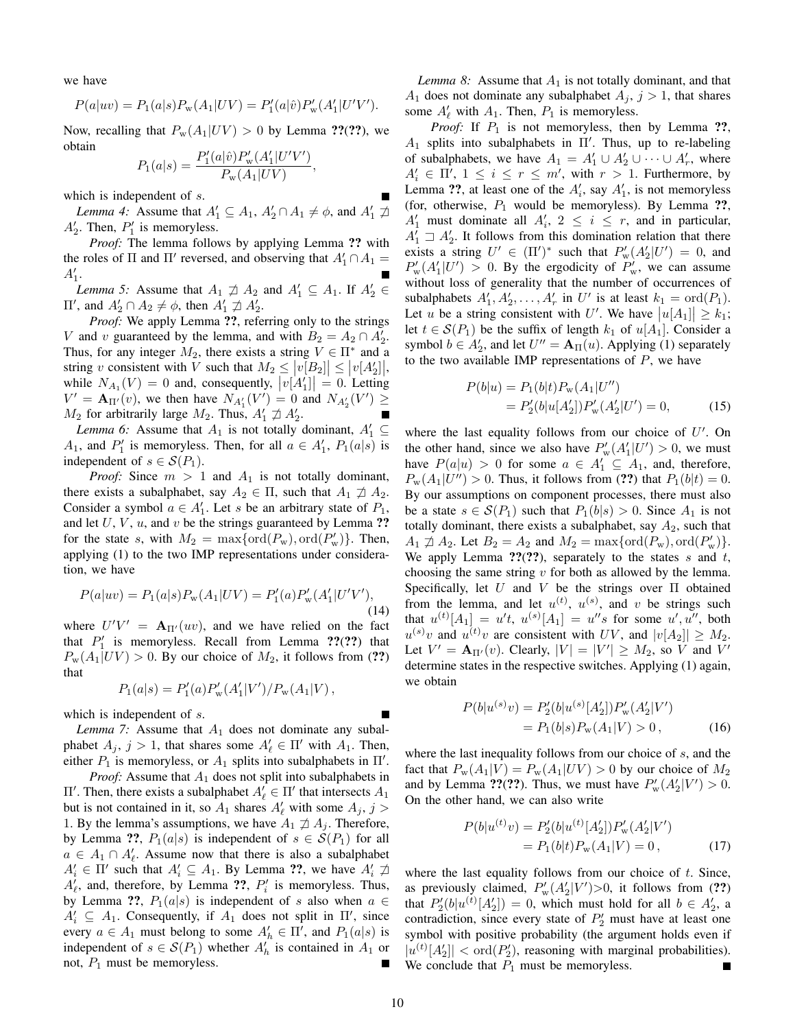we have

$$
P(a|uv) = P_1(a|s)P_w(A_1|UV) = P'_1(a|\hat{v})P'_w(A'_1|U'V').
$$

Now, recalling that  $P_w(A_1|UV) > 0$  by Lemma ??(??), we obtain

$$
P_1(a|s) = \frac{P'_1(a|\hat{v})P'_w(A'_1|U'V')}{P_w(A_1|UV)},
$$

which is independent of s.

*Lemma 4:* Assume that  $A'_1 \subseteq A_1$ ,  $A'_2 \cap A_1 \neq \emptyset$ , and  $A'_1 \nsupseteq A'_2$  $A'_2$ . Then,  $P'_1$  is memoryless.

*Proof:* The lemma follows by applying Lemma ?? with the roles of  $\Pi$  and  $\Pi'$  reversed, and observing that  $A'_1 \cap A_1 =$  $A'_1.$ 

*Lemma 5:* Assume that  $A_1 \not\supseteq A_2$  and  $A'_1 \subseteq A_1$ . If  $A'_2 \in$  $\Pi'$ , and  $A'_2$  ∩  $A_2 \neq \phi$ , then  $A'_1 \not\supseteq A'_2$ .

*Proof:* We apply Lemma ??, referring only to the strings V and v guaranteed by the lemma, and with  $B_2 = A_2 \cap A'_2$ . Thus, for any integer  $M_2$ , there exists a string  $V \in \Pi^*$  and a string v consistent with V such that  $M_2 \le |v[B_2]| \le |v[A_2']|$ , while  $N_{A_1}(V) = 0$  and, consequently,  $|v[A_1']| = 0$ . Letting  $V' = \mathbf{A}_{\Pi'}(v)$ , we then have  $N_{A'_{1}}(V') = 0$  and  $N_{A'_{2}}(V') \geq$  $M_2$  for arbitrarily large  $M_2$ . Thus,  $A'_1 \not\supset A'_2$ .

*Lemma 6:* Assume that  $A_1$  is not totally dominant,  $A'_1 \subseteq$  $A_1$ , and  $P'_1$  is memoryless. Then, for all  $a \in A'_1$ ,  $P_1(a|s)$  is independent of  $s \in \mathcal{S}(P_1)$ .

*Proof:* Since  $m > 1$  and  $A_1$  is not totally dominant, there exists a subalphabet, say  $A_2 \in \Pi$ , such that  $A_1 \not\supseteq A_2$ . Consider a symbol  $a \in A'_1$ . Let s be an arbitrary state of  $P_1$ , and let  $U, V, u$ , and v be the strings guaranteed by Lemma ?? for the state s, with  $M_2 = \max\{\text{ord}(P_w), \text{ord}(P'_w)\}\$ . Then, applying (1) to the two IMP representations under consideration, we have

$$
P(a|uv) = P_1(a|s)P_w(A_1|UV) = P'_1(a)P'_w(A'_1|U'V'),
$$
\n(14)

where  $U'V' = A_{\Pi'}(uv)$ , and we have relied on the fact that  $P'_1$  is memoryless. Recall from Lemma ??(??) that  $P_{\rm w}(A_1|UV) > 0$ . By our choice of  $M_2$ , it follows from (??) that

$$
P_1(a|s) = P'_1(a)P'_w(A'_1|V')/P_w(A_1|V) ,
$$

which is independent of  $s$ .

*Lemma 7:* Assume that  $A_1$  does not dominate any subalphabet  $A_j$ ,  $j > 1$ , that shares some  $A'_\ell \in \Pi'$  with  $A_1$ . Then, either  $P_1$  is memoryless, or  $A_1$  splits into subalphabets in  $\Pi'$ .

*Proof:* Assume that  $A_1$  does not split into subalphabets in  $\Pi'$ . Then, there exists a subalphabet  $A'_{\ell} \in \Pi'$  that intersects  $A_1$ but is not contained in it, so  $A_1$  shares  $A'_\ell$  with some  $A_j$ ,  $j >$ 1. By the lemma's assumptions, we have  $A_1 \not\supseteq A_j$ . Therefore, by Lemma ??,  $P_1(a|s)$  is independent of  $s \in \mathcal{S}(P_1)$  for all  $a \in A_1 \cap A'_\ell$ . Assume now that there is also a subalphabet  $A'_i \in \Pi'$  such that  $A'_i \subseteq A_1$ . By Lemma ??, we have  $A'_i \nightharpoondown A'_i$  $A'_\ell$ , and, therefore, by Lemma ??,  $P'_i$  is memoryless. Thus, by Lemma ??,  $P_1(a|s)$  is independent of s also when  $a \in$  $A'_i \subseteq A_1$ . Consequently, if  $A_1$  does not split in  $\Pi'$ , since every  $a \in A_1$  must belong to some  $A'_h \in \Pi'$ , and  $P_1(a|s)$  is independent of  $s \in \mathcal{S}(P_1)$  whether  $A'_h$  is contained in  $A_1$  or not,  $P_1$  must be memoryless.

*Lemma 8:* Assume that  $A_1$  is not totally dominant, and that  $A_1$  does not dominate any subalphabet  $A_j$ ,  $j > 1$ , that shares some  $A'_\ell$  with  $A_1$ . Then,  $P_1$  is memoryless.

*Proof:* If  $P_1$  is not memoryless, then by Lemma ??,  $A_1$  splits into subalphabets in  $\Pi'$ . Thus, up to re-labeling of subalphabets, we have  $A_1 = A'_1 \cup A'_2 \cup \cdots \cup A'_r$ , where  $A'_i \in \Pi', 1 \leq i \leq r \leq m'$ , with  $r > 1$ . Furthermore, by Lemma ??, at least one of the  $A'_i$ , say  $A'_1$ , is not memoryless (for, otherwise,  $P_1$  would be memoryless). By Lemma ??,  $A'_1$  must dominate all  $A'_i$ ,  $2 \le i \le r$ , and in particular,  $A_1^{\prime} \supseteq A_2^{\prime}$ . It follows from this domination relation that there exists a string  $U' \in (\Pi')^*$  such that  $P'_{\rm w}(A'_2|U') = 0$ , and  $P_{\rm w}'(A_1'|U') > 0$ . By the ergodicity of  $P_{\rm w}'$ , we can assume without loss of generality that the number of occurrences of subalphabets  $A'_1, A'_2, \ldots, A'_r$  in U' is at least  $k_1 = \text{ord}(P_1)$ . Let u be a string consistent with U'. We have  $|u[A_1]| \geq k_1;$ let  $t \in S(P_1)$  be the suffix of length  $k_1$  of  $u[A_1]$ . Consider a symbol  $b \in A'_2$ , and let  $U'' = \mathbf{A}_{\Pi}(u)$ . Applying (1) separately to the two available IMP representations of  $P$ , we have

$$
P(b|u) = P_1(b|t)P_w(A_1|U'')
$$
  
=  $P'_2(b|u[A'_2])P'_w(A'_2|U') = 0,$  (15)

where the last equality follows from our choice of  $U'$ . On the other hand, since we also have  $P'_{\rm w}(A'_1|U') > 0$ , we must have  $P(a|u) > 0$  for some  $a \in A'_1 \subseteq A_1$ , and, therefore,  $P_{\rm w}(A_1|U'') > 0$ . Thus, it follows from (??) that  $P_1(b|t) = 0$ . By our assumptions on component processes, there must also be a state  $s \in \mathcal{S}(P_1)$  such that  $P_1(b|s) > 0$ . Since  $A_1$  is not totally dominant, there exists a subalphabet, say  $A_2$ , such that  $A_1 \nexists A_2$ . Let  $B_2 = A_2$  and  $M_2 = \max\{\text{ord}(P_w), \text{ord}(P'_w)\}.$ We apply Lemma  $?$ ?(??), separately to the states s and t, choosing the same string  $v$  for both as allowed by the lemma. Specifically, let U and V be the strings over  $\Pi$  obtained from the lemma, and let  $u^{(t)}$ ,  $u^{(s)}$ , and v be strings such that  $u^{(t)}[A_1] = u't$ ,  $u^{(s)}[A_1] = u''s$  for some  $u', u''$ , both  $u^{(s)}v$  and  $u^{(t)}v$  are consistent with UV, and  $|v[A_2]| \geq M_2$ . Let  $V' = \mathbf{A}_{\Pi'}(v)$ . Clearly,  $|V| = |V'| \ge M_2$ , so V and V' determine states in the respective switches. Applying (1) again, we obtain

$$
P(b|u^{(s)}v) = P'_{2}(b|u^{(s)}[A'_{2}])P'_{w}(A'_{2}|V')
$$
  
=  $P_{1}(b|s)P_{w}(A_{1}|V) > 0,$  (16)

where the last inequality follows from our choice of s, and the fact that  $P_w(A_1|V) = P_w(A_1|UV) > 0$  by our choice of  $M_2$ and by Lemma ??(??). Thus, we must have  $P'_{\rm w}(A'_2|V') > 0$ . On the other hand, we can also write

$$
P(b|u^{(t)}v) = P'_2(b|u^{(t)}[A'_2])P'_w(A'_2|V')
$$
  
=  $P_1(b|t)P_w(A_1|V) = 0,$  (17)

where the last equality follows from our choice of  $t$ . Since, as previously claimed,  $P'_{\rm w}(A'_2|V')>0$ , it follows from (??) that  $P_2'(b|u^{(t)}[A_2'])=0$ , which must hold for all  $b \in A_2'$ , a contradiction, since every state of  $P'_2$  must have at least one symbol with positive probability (the argument holds even if  $|u^{(t)}[A_2']| < \text{ord}(P_2')$ , reasoning with marginal probabilities). We conclude that  $P_1$  must be memoryless.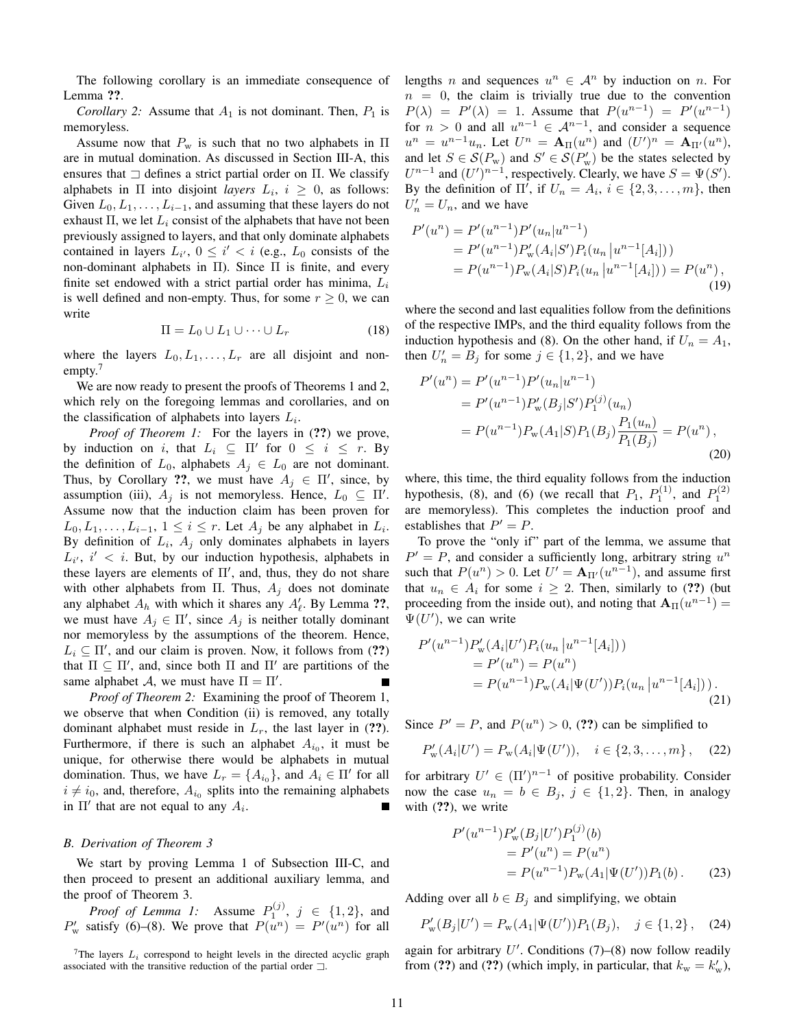The following corollary is an immediate consequence of Lemma ??.

*Corollary 2:* Assume that  $A_1$  is not dominant. Then,  $P_1$  is memoryless.

Assume now that  $P_w$  is such that no two alphabets in  $\Pi$ are in mutual domination. As discussed in Section III-A, this ensures that  $\Box$  defines a strict partial order on Π. We classify alphabets in  $\Pi$  into disjoint *layers*  $L_i$ ,  $i \geq 0$ , as follows: Given  $L_0, L_1, \ldots, L_{i-1}$ , and assuming that these layers do not exhaust  $\Pi$ , we let  $L_i$  consist of the alphabets that have not been previously assigned to layers, and that only dominate alphabets contained in layers  $L_{i'}$ ,  $0 \le i' < i$  (e.g.,  $L_0$  consists of the non-dominant alphabets in Π). Since  $\Pi$  is finite, and every finite set endowed with a strict partial order has minima,  $L_i$ is well defined and non-empty. Thus, for some  $r \geq 0$ , we can write

$$
\Pi = L_0 \cup L_1 \cup \dots \cup L_r \tag{18}
$$

where the layers  $L_0, L_1, \ldots, L_r$  are all disjoint and nonempty.<sup>7</sup>

We are now ready to present the proofs of Theorems 1 and 2, which rely on the foregoing lemmas and corollaries, and on the classification of alphabets into layers  $L_i$ .

*Proof of Theorem 1:* For the layers in (??) we prove, by induction on i, that  $L_i \subseteq \Pi'$  for  $0 \le i \le r$ . By the definition of  $L_0$ , alphabets  $A_j \in L_0$  are not dominant. Thus, by Corollary ??, we must have  $A_j \in \Pi'$ , since, by assumption (iii),  $A_j$  is not memoryless. Hence,  $L_0 \subseteq \Pi'$ . Assume now that the induction claim has been proven for  $L_0, L_1, \ldots, L_{i-1}, 1 \leq i \leq r$ . Let  $A_j$  be any alphabet in  $L_i$ . By definition of  $L_i$ ,  $A_j$  only dominates alphabets in layers  $L_{i'}$ ,  $i' < i$ . But, by our induction hypothesis, alphabets in these layers are elements of  $\Pi'$ , and, thus, they do not share with other alphabets from Π. Thus,  $A_i$  does not dominate any alphabet  $A_h$  with which it shares any  $A'_\ell$ . By Lemma ??, we must have  $A_j \in \Pi'$ , since  $A_j$  is neither totally dominant nor memoryless by the assumptions of the theorem. Hence,  $L_i \subseteq \Pi'$ , and our claim is proven. Now, it follows from (??) that  $\Pi \subseteq \Pi'$ , and, since both  $\Pi$  and  $\Pi'$  are partitions of the same alphabet A, we must have  $\Pi = \Pi'$ .

*Proof of Theorem 2:* Examining the proof of Theorem 1, we observe that when Condition (ii) is removed, any totally dominant alphabet must reside in  $L_r$ , the last layer in (??). Furthermore, if there is such an alphabet  $A_{i_0}$ , it must be unique, for otherwise there would be alphabets in mutual domination. Thus, we have  $L_r = \{A_{i_0}\}\$ , and  $A_i \in \Pi'$  for all  $i \neq i_0$ , and, therefore,  $A_{i_0}$  splits into the remaining alphabets in  $\Pi'$  that are not equal to any  $A_i$ .

# *B. Derivation of Theorem 3*

We start by proving Lemma 1 of Subsection III-C, and then proceed to present an additional auxiliary lemma, and the proof of Theorem 3.

*Proof of Lemma 1:* Assume  $P_1^{(j)}$ ,  $j \in \{1,2\}$ , and  $P'_w$  satisfy (6)–(8). We prove that  $P(u^n) = P'(u^n)$  for all lengths *n* and sequences  $u^n \in \mathcal{A}^n$  by induction on *n*. For  $n = 0$ , the claim is trivially true due to the convention  $P(\lambda) = P'(\lambda) = 1$ . Assume that  $P(u^{n-1}) = P'(u^{n-1})$ for  $n > 0$  and all  $u^{n-1} \in \mathcal{A}^{n-1}$ , and consider a sequence  $u^n = u^{n-1}u_n$ . Let  $U^n = \mathbf{A}_{\Pi}(u^n)$  and  $(U')^n = \mathbf{A}_{\Pi'}(u^n)$ , and let  $S \in \mathcal{S}(P_{\rm w})$  and  $S' \in \mathcal{S}(P_{\rm w}')$  be the states selected by  $U^{n-1}$  and  $(U')^{n-1}$ , respectively. Clearly, we have  $S = \Psi(S')$ . By the definition of  $\Pi'$ , if  $U_n = A_i$ ,  $i \in \{2, 3, ..., m\}$ , then  $U'_n = U_n$ , and we have

$$
P'(u^n) = P'(u^{n-1})P'(u_n|u^{n-1})
$$
  
=  $P'(u^{n-1})P'_w(A_i|S')P_i(u_n|u^{n-1}[A_i]))$   
=  $P(u^{n-1})P_w(A_i|S)P_i(u_n|u^{n-1}[A_i])) = P(u^n)$ , (19)

where the second and last equalities follow from the definitions of the respective IMPs, and the third equality follows from the induction hypothesis and (8). On the other hand, if  $U_n = A_1$ , then  $U'_n = B_j$  for some  $j \in \{1, 2\}$ , and we have

$$
P'(u^n) = P'(u^{n-1})P'(u_n|u^{n-1})
$$
  
=  $P'(u^{n-1})P_w'(B_j|S')P_1^{(j)}(u_n)$   
=  $P(u^{n-1})P_w(A_1|S)P_1(B_j)\frac{P_1(u_n)}{P_1(B_j)} = P(u^n)$ , (20)

where, this time, the third equality follows from the induction hypothesis, (8), and (6) (we recall that  $P_1$ ,  $P_1^{(1)}$ , and  $P_1^{(2)}$ are memoryless). This completes the induction proof and establishes that  $P' = P$ .

To prove the "only if" part of the lemma, we assume that  $P' = P$ , and consider a sufficiently long, arbitrary string  $u^n$ such that  $P(u^n) > 0$ . Let  $U' = \mathbf{A}_{\Pi'}(u^{n-1})$ , and assume first that  $u_n \in A_i$  for some  $i \geq 2$ . Then, similarly to (??) (but proceeding from the inside out), and noting that  $\mathbf{A}_{\Pi}(u^{n-1}) =$  $\Psi(U')$ , we can write

$$
P'(u^{n-1})P'_{w}(A_i|U')P_i(u_n|u^{n-1}[A_i]))
$$
  
=  $P'(u^n) = P(u^n)$   
=  $P(u^{n-1})P_w(A_i|\Psi(U'))P_i(u_n|u^{n-1}[A_i]))$ . (21)

Since  $P' = P$ , and  $P(u^n) > 0$ , (??) can be simplified to

$$
P'_{\rm w}(A_i|U') = P_{\rm w}(A_i|\Psi(U')), \quad i \in \{2, 3, \dots, m\}, \quad (22)
$$

for arbitrary  $U' \in (\Pi')^{n-1}$  of positive probability. Consider now the case  $u_n = b \in B_j$ ,  $j \in \{1, 2\}$ . Then, in analogy with  $(?)$ , we write

$$
P'(u^{n-1})P_w'(B_j|U')P_1^{(j)}(b)
$$
  
= P'(u^n) = P(u^n)  
= P(u^{n-1})P\_w(A\_1|\Psi(U'))P\_1(b). (23)

Adding over all  $b \in B_i$  and simplifying, we obtain

$$
P'_{\mathbf{w}}(B_j|U') = P_{\mathbf{w}}(A_1|\Psi(U'))P_1(B_j), \quad j \in \{1, 2\}, \quad (24)
$$

again for arbitrary  $U'$ . Conditions (7)–(8) now follow readily from (??) and (??) (which imply, in particular, that  $k_w = k'_w$ ),

<sup>&</sup>lt;sup>7</sup>The layers  $L_i$  correspond to height levels in the directed acyclic graph associated with the transitive reduction of the partial order  $\Box$ .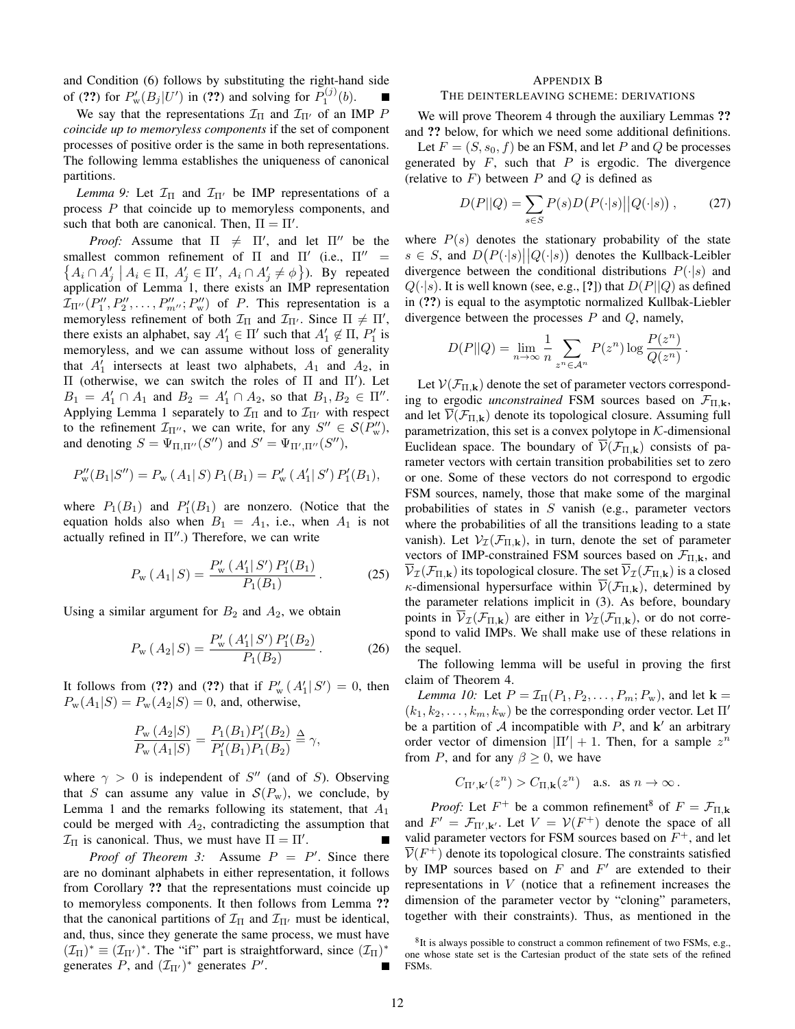and Condition (6) follows by substituting the right-hand side of (??) for  $P_w'(B_j|U')$  in (??) and solving for  $P_1^{(j)}(b)$ .

We say that the representations  $\mathcal{I}_{\Pi}$  and  $\mathcal{I}_{\Pi'}$  of an IMP P *coincide up to memoryless components* if the set of component processes of positive order is the same in both representations. The following lemma establishes the uniqueness of canonical partitions.

*Lemma 9:* Let  $\mathcal{I}_{\Pi}$  and  $\mathcal{I}_{\Pi'}$  be IMP representations of a process P that coincide up to memoryless components, and such that both are canonical. Then,  $\Pi = \Pi'$ .

*Proof:* Assume that  $\Pi \neq \Pi'$ , and let  $\Pi''$  be the smallest common refinement of  $\Pi$  and  $\Pi'$  (i.e.,  $\Pi'' =$  $\{A_i \cap A'_j \mid A_i \in \Pi, A'_j \in \Pi', A_i \cap A'_j \neq \emptyset\}$ ). By repeated application of Lemma 1, there exists an IMP representation  $\mathcal{I}_{\Pi''}(P''_1, P''_2, \ldots, P''_{m''}; P''_w)$  of P. This representation is a memoryless refinement of both  $\mathcal{I}_{\Pi}$  and  $\mathcal{I}_{\Pi'}$ . Since  $\Pi \neq \Pi'$ , there exists an alphabet, say  $A'_1 \in \Pi'$  such that  $A'_1 \notin \Pi$ ,  $P'_1$  is memoryless, and we can assume without loss of generality that  $A'_1$  intersects at least two alphabets,  $A_1$  and  $A_2$ , in  $\Pi$  (otherwise, we can switch the roles of  $\Pi$  and  $\Pi'$ ). Let  $B_1 = A'_1 \cap A_1$  and  $B_2 = A'_1 \cap A_2$ , so that  $B_1, B_2 \in \Pi''$ . Applying Lemma 1 separately to  $\mathcal{I}_{\Pi}$  and to  $\mathcal{I}_{\Pi'}$  with respect to the refinement  $\mathcal{I}_{\Pi''}$ , we can write, for any  $S'' \in \mathcal{S}(P_w'')$ , and denoting  $S = \Psi_{\Pi,\Pi''}(S'')$  and  $S' = \Psi_{\Pi',\Pi''}(S'')$ ,

$$
P''_w(B_1|S'') = P_w(A_1|S) P_1(B_1) = P'_w(A'_1|S') P'_1(B_1),
$$

where  $P_1(B_1)$  and  $P'_1(B_1)$  are nonzero. (Notice that the equation holds also when  $B_1 = A_1$ , i.e., when  $A_1$  is not actually refined in  $\Pi''$ .) Therefore, we can write

$$
P_{\rm w}(A_1|S) = \frac{P_{\rm w}'(A_1'|S')P_1'(B_1)}{P_1(B_1)}.
$$
 (25)

Using a similar argument for  $B_2$  and  $A_2$ , we obtain

$$
P_{\rm w} \left( A_2 | S \right) = \frac{P_{\rm w}' \left( A_1' | S' \right) P_1' (B_2)}{P_1 (B_2)} \,. \tag{26}
$$

It follows from (??) and (??) that if  $P'_{w}(A'_{1}|S') = 0$ , then  $P_{\rm w}(A_1|S) = P_{\rm w}(A_2|S) = 0$ , and, otherwise,

$$
\frac{P_{\rm w}(A_2|S)}{P_{\rm w}(A_1|S)} = \frac{P_1(B_1)P_1'(B_2)}{P_1'(B_1)P_1(B_2)} \stackrel{\Delta}{=} \gamma,
$$

where  $\gamma > 0$  is independent of S'' (and of S). Observing that S can assume any value in  $S(P_w)$ , we conclude, by Lemma 1 and the remarks following its statement, that  $A_1$ could be merged with  $A_2$ , contradicting the assumption that  $\mathcal{I}_{\Pi}$  is canonical. Thus, we must have  $\Pi = \Pi'.$ 

*Proof of Theorem 3:* Assume  $P = P'$ . Since there are no dominant alphabets in either representation, it follows from Corollary ?? that the representations must coincide up to memoryless components. It then follows from Lemma ?? that the canonical partitions of  $\mathcal{I}_{\Pi}$  and  $\mathcal{I}_{\Pi'}$  must be identical, and, thus, since they generate the same process, we must have  $(\mathcal{I}_{\Pi})^* \equiv (\mathcal{I}_{\Pi'})^*$ . The "if" part is straightforward, since  $(\mathcal{I}_{\Pi})^*$ generates P, and  $(\mathcal{I}_{\Pi'})^*$  generates P'.

#### APPENDIX B

# THE DEINTERLEAVING SCHEME: DERIVATIONS

We will prove Theorem 4 through the auxiliary Lemmas ?? and ?? below, for which we need some additional definitions.

Let  $F = (S, s_0, f)$  be an FSM, and let P and Q be processes generated by  $F$ , such that  $P$  is ergodic. The divergence (relative to  $F$ ) between  $P$  and  $Q$  is defined as

$$
D(P||Q) = \sum_{s \in S} P(s)D(P(\cdot|s)||Q(\cdot|s)), \qquad (27)
$$

where  $P(s)$  denotes the stationary probability of the state  $s \in S$ , and  $D(P(\cdot|s)||Q(\cdot|s))$  denotes the Kullback-Leibler divergence between the conditional distributions  $P(\cdot|s)$  and  $Q(\cdot|s)$ . It is well known (see, e.g., [?]) that  $D(P||Q)$  as defined in (??) is equal to the asymptotic normalized Kullbak-Liebler divergence between the processes  $P$  and  $Q$ , namely,

$$
D(P||Q) = \lim_{n \to \infty} \frac{1}{n} \sum_{z^n \in A^n} P(z^n) \log \frac{P(z^n)}{Q(z^n)}.
$$

Let  $V(\mathcal{F}_{\Pi,k})$  denote the set of parameter vectors corresponding to ergodic *unconstrained* FSM sources based on  $\mathcal{F}_{\Pi,\mathbf{k}}$ , and let  $\overline{\mathcal{V}}(\mathcal{F}_{\Pi,k})$  denote its topological closure. Assuming full parametrization, this set is a convex polytope in  $K$ -dimensional Euclidean space. The boundary of  $\mathcal{V}(\mathcal{F}_{\Pi,k})$  consists of parameter vectors with certain transition probabilities set to zero or one. Some of these vectors do not correspond to ergodic FSM sources, namely, those that make some of the marginal probabilities of states in  $S$  vanish (e.g., parameter vectors where the probabilities of all the transitions leading to a state vanish). Let  $V_{\mathcal{I}}(\mathcal{F}_{\Pi,k})$ , in turn, denote the set of parameter vectors of IMP-constrained FSM sources based on  $\mathcal{F}_{\Pi,k}$ , and  $\overline{\mathcal{V}}_{\mathcal{I}}(\mathcal{F}_{\Pi,\mathbf{k}})$  its topological closure. The set  $\overline{\mathcal{V}}_{\mathcal{I}}(\mathcal{F}_{\Pi,\mathbf{k}})$  is a closed  $\kappa$ -dimensional hypersurface within  $\overline{\mathcal{V}}(\mathcal{F}_{\Pi,\mathbf{k}})$ , determined by the parameter relations implicit in (3). As before, boundary points in  $\overline{\mathcal{V}}_{\mathcal{I}}(\mathcal{F}_{\Pi,\mathbf{k}})$  are either in  $\mathcal{V}_{\mathcal{I}}(\mathcal{F}_{\Pi,\mathbf{k}})$ , or do not correspond to valid IMPs. We shall make use of these relations in the sequel.

The following lemma will be useful in proving the first claim of Theorem 4.

*Lemma 10:* Let  $P = \mathcal{I}_{\Pi}(P_1, P_2, \ldots, P_m; P_w)$ , and let  $\mathbf{k} =$  $(k_1, k_2, \ldots, k_m, k_w)$  be the corresponding order vector. Let  $\Pi'$ be a partition of  $A$  incompatible with  $P$ , and  $\mathbf{k}'$  an arbitrary order vector of dimension  $|\Pi'| + 1$ . Then, for a sample  $z^n$ from P, and for any  $\beta \geq 0$ , we have

$$
C_{\Pi',\mathbf k'}(z^n)>C_{\Pi,\mathbf k}(z^n)\quad \text{a.s. as }n\to\infty\,.
$$

*Proof:* Let  $F^+$  be a common refinement<sup>8</sup> of  $F = \mathcal{F}_{\Pi,\mathbf{k}}$ and  $F' = \mathcal{F}_{\Pi',\mathbf{k}'}$ . Let  $V = \mathcal{V}(F^+)$  denote the space of all valid parameter vectors for FSM sources based on  $F^+$ , and let  $\overline{\mathcal{V}}(F^+)$  denote its topological closure. The constraints satisfied by IMP sources based on  $F$  and  $F'$  are extended to their representations in V (notice that a refinement increases the dimension of the parameter vector by "cloning" parameters, together with their constraints). Thus, as mentioned in the

<sup>&</sup>lt;sup>8</sup>It is always possible to construct a common refinement of two FSMs, e.g., one whose state set is the Cartesian product of the state sets of the refined FSMs.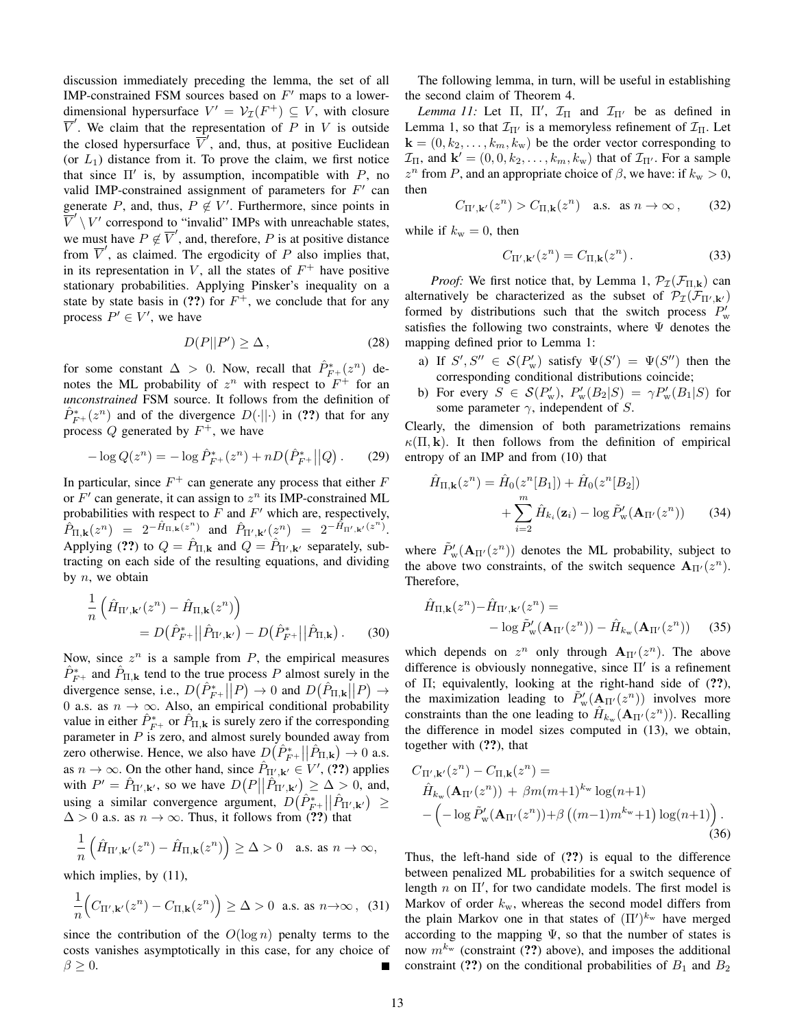discussion immediately preceding the lemma, the set of all IMP-constrained FSM sources based on  $F'$  maps to a lowerdimensional hypersurface  $V' = V_{\mathcal{I}}(F^+) \subseteq V$ , with closure  $\overline{V}'$ . We claim that the representation of P in V is outside the closed hypersurface  $\overrightarrow{V}'$ , and, thus, at positive Euclidean (or  $L_1$ ) distance from it. To prove the claim, we first notice that since  $\Pi'$  is, by assumption, incompatible with  $P$ , no valid IMP-constrained assignment of parameters for  $F'$  can generate P, and, thus,  $P \notin V'$ . Furthermore, since points in  $\overline{V}' \setminus V'$  correspond to "invalid" IMPs with unreachable states, we must have  $P \notin \overline{V}'$ , and, therefore, P is at positive distance from  $\overline{V}'$ , as claimed. The ergodicity of P also implies that, in its representation in  $V$ , all the states of  $F^+$  have positive stationary probabilities. Applying Pinsker's inequality on a state by state basis in (??) for  $F^+$ , we conclude that for any process  $P' \in V'$ , we have

$$
D(P||P') \ge \Delta, \qquad (28)
$$

for some constant  $\Delta > 0$ . Now, recall that  $\hat{P}_{F+}^*(z^n)$  denotes the ML probability of  $z^n$  with respect to  $F^+$  for an *unconstrained* FSM source. It follows from the definition of  $\hat{P}_{F^+}^*(z^n)$  and of the divergence  $D(\cdot||\cdot)$  in (??) that for any process Q generated by  $F^+$ , we have

$$
-\log Q(z^n) = -\log \hat{P}_{F^+}^*(z^n) + nD(\hat{P}_{F^+}^*||Q). \tag{29}
$$

In particular, since  $F^+$  can generate any process that either  $F$ or  $F'$  can generate, it can assign to  $z^n$  its IMP-constrained ML probabilities with respect to  $F$  and  $F'$  which are, respectively,  $\hat{P}_{\Pi,\mathbf{k}}(z^n) = 2^{-\hat{H}_{\Pi,\mathbf{k}}(z^n)}$  and  $\hat{P}_{\Pi',\mathbf{k}'}(z^n) = 2^{-\hat{H}_{\Pi',\mathbf{k}'}(z^n)}$ . Applying (??) to  $Q = \hat{P}_{\Pi,\mathbf{k}}$  and  $Q = \hat{P}_{\Pi',\mathbf{k'}}$  separately, subtracting on each side of the resulting equations, and dividing by  $n$ , we obtain

$$
\frac{1}{n} \left( \hat{H}_{\Pi',\mathbf{k}'}(z^n) - \hat{H}_{\Pi,\mathbf{k}}(z^n) \right) \n= D(\hat{P}_{F^+}^* || \hat{P}_{\Pi',\mathbf{k}'} ) - D(\hat{P}_{F^+}^* || \hat{P}_{\Pi,\mathbf{k}} ).
$$
\n(30)

Now, since  $z^n$  is a sample from  $P$ , the empirical measures  $\hat{P}_{F^+}^*$  and  $\hat{P}_{\Pi,\mathbf{k}}$  tend to the true process P almost surely in the divergence sense, i.e.,  $D(\hat{P}_{F^+}^*||P) \to 0$  and  $D(\hat{P}_{\Pi,k}||P) \to$ 0 a.s. as  $n \to \infty$ . Also, an empirical conditional probability value in either  $\hat{P}_{F^+}^*$  or  $\hat{P}_{\Pi,\mathbf{k}}$  is surely zero if the corresponding parameter in  $P$  is zero, and almost surely bounded away from zero otherwise. Hence, we also have  $D(\hat{P}_{F^+}^*||\hat{P}_{\Pi,\mathbf{k}}) \to 0$  a.s. as  $n \to \infty$ . On the other hand, since  $\hat{P}_{\Pi',\mathbf{k'}} \in V', (22)$  applies with  $P' = \hat{P}_{\Pi',\mathbf{k}'},$  so we have  $D(P||\hat{P}_{\Pi',\mathbf{k}'}) \geq \Delta > 0$ , and, using a similar convergence argument,  $D(\hat{P}_{F^*}^*||\hat{P}_{\Pi',\mathbf{k'}}) \ge$  $\Delta > 0$  a.s. as  $n \to \infty$ . Thus, it follows from (??) that

$$
\frac{1}{n}\left(\hat{H}_{\Pi',\mathbf{k}'}(z^n) - \hat{H}_{\Pi,\mathbf{k}}(z^n)\right) \ge \Delta > 0 \quad \text{a.s. as } n \to \infty,
$$

which implies, by  $(11)$ ,

$$
\frac{1}{n}\Big(C_{\Pi',\mathbf{k}'}(z^n) - C_{\Pi,\mathbf{k}}(z^n)\Big) \ge \Delta > 0 \text{ a.s. as } n \to \infty \,, \tag{31}
$$

since the contribution of the  $O(\log n)$  penalty terms to the costs vanishes asymptotically in this case, for any choice of  $\beta \geq 0$ .

The following lemma, in turn, will be useful in establishing the second claim of Theorem 4.

*Lemma 11:* Let  $\Pi$ ,  $\Pi'$ ,  $\mathcal{I}_{\Pi}$  and  $\mathcal{I}_{\Pi'}$  be as defined in Lemma 1, so that  $\mathcal{I}_{\Pi'}$  is a memoryless refinement of  $\mathcal{I}_{\Pi}$ . Let  $\mathbf{k} = (0, k_2, \dots, k_m, k_w)$  be the order vector corresponding to  $\mathcal{I}_{\Pi}$ , and  $\mathbf{k}' = (0, 0, k_2, \dots, k_m, k_w)$  that of  $\mathcal{I}_{\Pi'}$ . For a sample  $z^n$  from P, and an appropriate choice of  $\beta$ , we have: if  $k_w > 0$ , then

$$
C_{\Pi',\mathbf{k}'}(z^n) > C_{\Pi,\mathbf{k}}(z^n) \quad \text{a.s.} \quad \text{as } n \to \infty \,, \tag{32}
$$

while if  $k_w = 0$ , then

$$
C_{\Pi',\mathbf{k}'}(z^n) = C_{\Pi,\mathbf{k}}(z^n). \tag{33}
$$

*Proof:* We first notice that, by Lemma 1,  $\mathcal{P}_{\mathcal{I}}(\mathcal{F}_{\Pi,k})$  can alternatively be characterized as the subset of  $\mathcal{P}_{\mathcal{I}}(\mathcal{F}_{\Pi',\mathbf{k'}})$ formed by distributions such that the switch process  $P'_{\rm w}$ satisfies the following two constraints, where  $\Psi$  denotes the mapping defined prior to Lemma 1:

- a) If  $S', S'' \in \mathcal{S}(P_w')$  satisfy  $\Psi(S') = \Psi(S'')$  then the corresponding conditional distributions coincide;
- b) For every  $S \in \mathcal{S}(P_w')$ ,  $P_w'(B_2|S) = \gamma P_w'(B_1|S)$  for some parameter  $\gamma$ , independent of S.

Clearly, the dimension of both parametrizations remains  $\kappa(\Pi, \mathbf{k})$ . It then follows from the definition of empirical entropy of an IMP and from (10) that

$$
\hat{H}_{\Pi,\mathbf{k}}(z^n) = \hat{H}_0(z^n[B_1]) + \hat{H}_0(z^n[B_2]) + \sum_{i=2}^m \hat{H}_{k_i}(\mathbf{z}_i) - \log \tilde{P}'_{\mathbf{w}}(\mathbf{A}_{\Pi'}(z^n)) \tag{34}
$$

where  $\tilde{P}'_{\rm w}(\mathbf{A}_{\Pi'}(z^n))$  denotes the ML probability, subject to the above two constraints, of the switch sequence  $\mathbf{A}_{\Pi'}(z^n)$ . Therefore,

$$
\hat{H}_{\Pi,\mathbf{k}}(z^n) - \hat{H}_{\Pi',\mathbf{k}'}(z^n) = -\log \tilde{P}'_{\mathbf{w}}(\mathbf{A}_{\Pi'}(z^n)) - \hat{H}_{k_{\mathbf{w}}}(\mathbf{A}_{\Pi'}(z^n)) \tag{35}
$$

which depends on  $z^n$  only through  $\mathbf{A}_{\Pi'}(z^n)$ . The above difference is obviously nonnegative, since  $\Pi'$  is a refinement of  $\Pi$ ; equivalently, looking at the right-hand side of  $(?)$ , the maximization leading to  $\tilde{P}'_{\rm w}({\bf A}_{\Pi'}(z^n))$  involves more constraints than the one leading to  $\hat{H}_{k_{\rm w}}(\mathbf{A}_{\Pi'}(z^n))$ . Recalling the difference in model sizes computed in (13), we obtain, together with (??), that

$$
C_{\Pi',\mathbf{k}'}(z^n) - C_{\Pi,\mathbf{k}}(z^n) =
$$
  
\n
$$
\hat{H}_{k_{\mathrm{w}}}(\mathbf{A}_{\Pi'}(z^n)) + \beta m(m+1)^{k_{\mathrm{w}}} \log(n+1)
$$
  
\n
$$
-(-\log \tilde{P}'_{\mathrm{w}}(\mathbf{A}_{\Pi'}(z^n)) + \beta ((m-1)m^{k_{\mathrm{w}}}+1) \log(n+1)).
$$
\n(36)

Thus, the left-hand side of (??) is equal to the difference between penalized ML probabilities for a switch sequence of length  $n$  on  $\Pi'$ , for two candidate models. The first model is Markov of order  $k_{\rm w}$ , whereas the second model differs from the plain Markov one in that states of  $(\Pi')^{k_{\rm w}}$  have merged according to the mapping  $\Psi$ , so that the number of states is now  $m^{k_{\rm w}}$  (constraint (??) above), and imposes the additional constraint (??) on the conditional probabilities of  $B_1$  and  $B_2$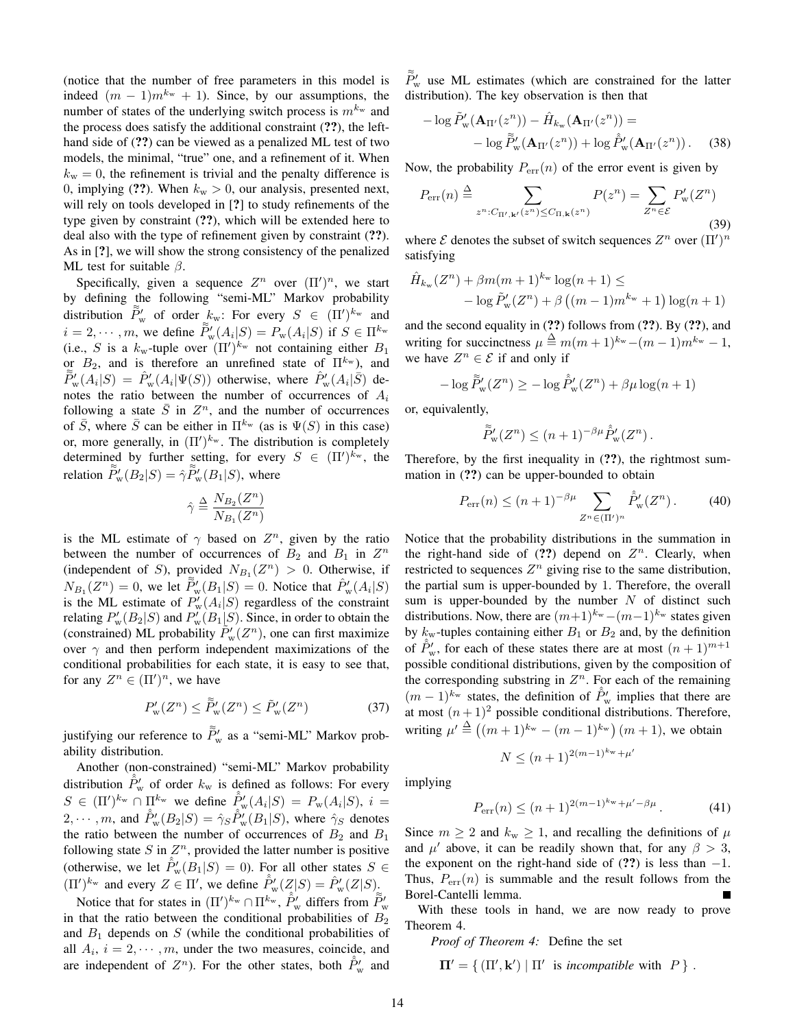(notice that the number of free parameters in this model is indeed  $(m - 1)m^{k_w} + 1$ ). Since, by our assumptions, the number of states of the underlying switch process is  $m^{k_{w}}$  and the process does satisfy the additional constraint (??), the lefthand side of  $(?)$  can be viewed as a penalized ML test of two models, the minimal, "true" one, and a refinement of it. When  $k_{\rm w} = 0$ , the refinement is trivial and the penalty difference is 0, implying (??). When  $k_w > 0$ , our analysis, presented next, will rely on tools developed in [?] to study refinements of the type given by constraint (??), which will be extended here to deal also with the type of refinement given by constraint (??). As in [?], we will show the strong consistency of the penalized ML test for suitable  $\beta$ .

Specifically, given a sequence  $Z^n$  over  $(\Pi')^n$ , we start by defining the following "semi-ML" Markov probability distribution  $\tilde{P}_{\rm w}$  of order  $k_{\rm w}$ : For every  $S \in (\Pi')^{k_{\rm w}}$  and  $i = 2, \dots, m$ , we define  $\widetilde{P}_{w}(A_i|S) = P_{w}(A_i|S)$  if  $S \in \Pi^{k_w}$ (i.e., S is a  $k_{\rm w}$ -tuple over  $(\Pi')^{k_{\rm w}}$  not containing either  $B_1$ or  $B_2$ , and is therefore an unrefined state of  $\Pi^{k_{\rm w}}$ ), and  $\tilde{\tilde{P}}_{\rm w}^{\prime}(A_i|S) = \hat{P}_{\rm w}^{\prime}(A_i|\Psi(S))$  otherwise, where  $\hat{P}_{\rm w}^{\prime}(A_i|\tilde{S})$  denotes the ratio between the number of occurrences of  $A_i$ following a state  $\overline{S}$  in  $Z^n$ , and the number of occurrences of  $\overline{S}$ , where  $\overline{S}$  can be either in  $\Pi^{k_{\rm w}}$  (as is  $\Psi(S)$ ) in this case) or, more generally, in  $(\Pi')^{k_w}$ . The distribution is completely determined by further setting, for every  $S \in (\Pi')^{k_w}$ , the relation  $\tilde{P}_{\text{w}}'(B_2|S) = \hat{\gamma} \tilde{P}_{\text{w}}'(B_1|S)$ , where

$$
\hat{\gamma} \stackrel{\Delta}{=} \frac{N_{B_2}(Z^n)}{N_{B_1}(Z^n)}
$$

is the ML estimate of  $\gamma$  based on  $Z^n$ , given by the ratio between the number of occurrences of  $B_2$  and  $B_1$  in  $Z^n$ (independent of S), provided  $N_{B_1}(Z^n) > 0$ . Otherwise, if  $N_{B_1}(Z^n) = 0$ , we let  $\widetilde{P}_w'(B_1|S) = 0$ . Notice that  $\widehat{P}_w'(A_i|S)$ is the ML estimate of  $P_w'(A_i|S)$  regardless of the constraint relating  $P_{\rm w}'(B_2|S)$  and  $P_{\rm w}'(B_1|S)$ . Since, in order to obtain the (constrained) ML probability  $\tilde{P}_{\rm w}^{\prime}(Z^n)$ , one can first maximize over  $\gamma$  and then perform independent maximizations of the conditional probabilities for each state, it is easy to see that, for any  $Z^n \in (\Pi')^n$ , we have

$$
P'_{\mathbf{w}}(Z^n) \le \tilde{P}'_{\mathbf{w}}(Z^n) \le \tilde{P}'_{\mathbf{w}}(Z^n) \tag{37}
$$

justifying our reference to  $\tilde{P}'_{\rm w}$  as a "semi-ML" Markov probability distribution.

Another (non-constrained) "semi-ML" Markov probability distribution  $\hat{P}_{\text{w}}'$  of order  $k_{\text{w}}$  is defined as follows: For every  $S \in (\Pi')^{k_{\rm w}} \cap \Pi^{k_{\rm w}}$  we define  $\hat{P}'_{\rm w}(A_i|S) = P_{\rm w}(A_i|S)$ ,  $i =$  $2, \cdots, m$ , and  $\hat{P}'_{w}(B_2|S) = \hat{\gamma}_S \hat{P}'_{w}(B_1|S)$ , where  $\hat{\gamma}_S$  denotes the ratio between the number of occurrences of  $B_2$  and  $B_1$ following state  $S$  in  $\mathbb{Z}^n$ , provided the latter number is positive (otherwise, we let  $\hat{P}_w(B_1|S) = 0$ ). For all other states  $S \in$  $(\Pi')^{k_{\rm w}}$  and every  $Z \in \Pi'$ , we define  $\hat{P}_{\rm w}'(Z|S) = \hat{P}_{\rm w}'(Z|S)$ .

Notice that for states in  $(\Pi')^{k_w} \cap \Pi^{k_w}$ ,  $\hat{P}'_w$  differs from  $\tilde{P}'_w$ in that the ratio between the conditional probabilities of  $B_2$ and  $B_1$  depends on  $S$  (while the conditional probabilities of all  $A_i$ ,  $i = 2, \dots, m$ , under the two measures, coincide, and are independent of  $Z^n$ ). For the other states, both  $\hat{P}'_w$  and

 $\tilde{\tilde{P}}'_{\rm w}$  use ML estimates (which are constrained for the latter distribution). The key observation is then that

$$
-\log \tilde{P}'_{\mathbf{w}}(\mathbf{A}_{\Pi'}(z^n)) - \hat{H}_{k_{\mathbf{w}}}(\mathbf{A}_{\Pi'}(z^n)) = -\log \tilde{\tilde{P}}'_{\mathbf{w}}(\mathbf{A}_{\Pi'}(z^n)) + \log \hat{\tilde{P}}'_{\mathbf{w}}(\mathbf{A}_{\Pi'}(z^n)) .
$$
 (38)

Now, the probability  $P_{err}(n)$  of the error event is given by

$$
P_{\text{err}}(n) \stackrel{\Delta}{=} \sum_{z^n : C_{\Pi', \mathbf{k'}}(z^n) \le C_{\Pi, \mathbf{k}}(z^n)} P(z^n) = \sum_{Z^n \in \mathcal{E}} P'_{\mathbf{w}}(Z^n)
$$
\n(39)

where  $\mathcal E$  denotes the subset of switch sequences  $Z^n$  over  $(\Pi')^n$ satisfying

$$
\hat{H}_{k_{\rm w}}(Z^n) + \beta m(m+1)^{k_{\rm w}} \log(n+1) \le
$$
  
-  $\log \tilde{P}_{\rm w}'(Z^n) + \beta ((m-1)m^{k_{\rm w}} + 1) \log(n+1)$ 

and the second equality in (??) follows from (??). By (??), and writing for succinctness  $\mu \stackrel{\Delta}{=} m(m+1)^{k_{\rm w}} - (m-1)m^{k_{\rm w}} - 1$ , we have  $Z^n \in \mathcal{E}$  if and only if

$$
-\log \tilde{P}'_{\mathbf{w}}(Z^n) \ge -\log \hat{P}'_{\mathbf{w}}(Z^n) + \beta \mu \log(n+1)
$$

or, equivalently,

$$
\widetilde{P}'_{\mathbf{w}}(Z^n) \le (n+1)^{-\beta\mu} \widehat{P}'_{\mathbf{w}}(Z^n) .
$$

Therefore, by the first inequality in (??), the rightmost summation in (??) can be upper-bounded to obtain

$$
P_{\text{err}}(n) \le (n+1)^{-\beta \mu} \sum_{Z^n \in (\Pi')^n} \hat{P}'_{\mathbf{w}}(Z^n).
$$
 (40)

Notice that the probability distributions in the summation in the right-hand side of  $(?)$  depend on  $Z<sup>n</sup>$ . Clearly, when restricted to sequences  $Z^n$  giving rise to the same distribution, the partial sum is upper-bounded by 1. Therefore, the overall sum is upper-bounded by the number  $N$  of distinct such distributions. Now, there are  $(m+1)^{k_w} - (m-1)^{k_w}$  states given by  $k_{\rm w}$ -tuples containing either  $B_1$  or  $B_2$  and, by the definition of  $\hat{P}_w'$ , for each of these states there are at most  $(n+1)^{m+1}$ possible conditional distributions, given by the composition of the corresponding substring in  $Z<sup>n</sup>$ . For each of the remaining  $(m-1)^{k_w}$  states, the definition of  $\hat{P}'_w$  implies that there are at most  $(n+1)^2$  possible conditional distributions. Therefore, writing  $\mu' \stackrel{\Delta}{=} ((m+1)^{k_w} - (m-1)^{k_w}) (m+1)$ , we obtain

$$
N \le (n+1)^{2(m-1)^{k_{\mathrm{w}}} + \mu'}
$$

implying

$$
P_{\rm err}(n) \le (n+1)^{2(m-1)^{k_{\rm w}} + \mu' - \beta \mu}.
$$
 (41)

Since  $m \ge 2$  and  $k_w \ge 1$ , and recalling the definitions of  $\mu$ and  $\mu'$  above, it can be readily shown that, for any  $\beta > 3$ , the exponent on the right-hand side of  $(?)$  is less than  $-1$ . Thus,  $P_{\text{err}}(n)$  is summable and the result follows from the Borel-Cantelli lemma.

With these tools in hand, we are now ready to prove Theorem 4.

*Proof of Theorem 4:* Define the set

$$
\Pi' = \{ (\Pi', \mathbf{k}') \mid \Pi' \text{ is incompatible with } P \}.
$$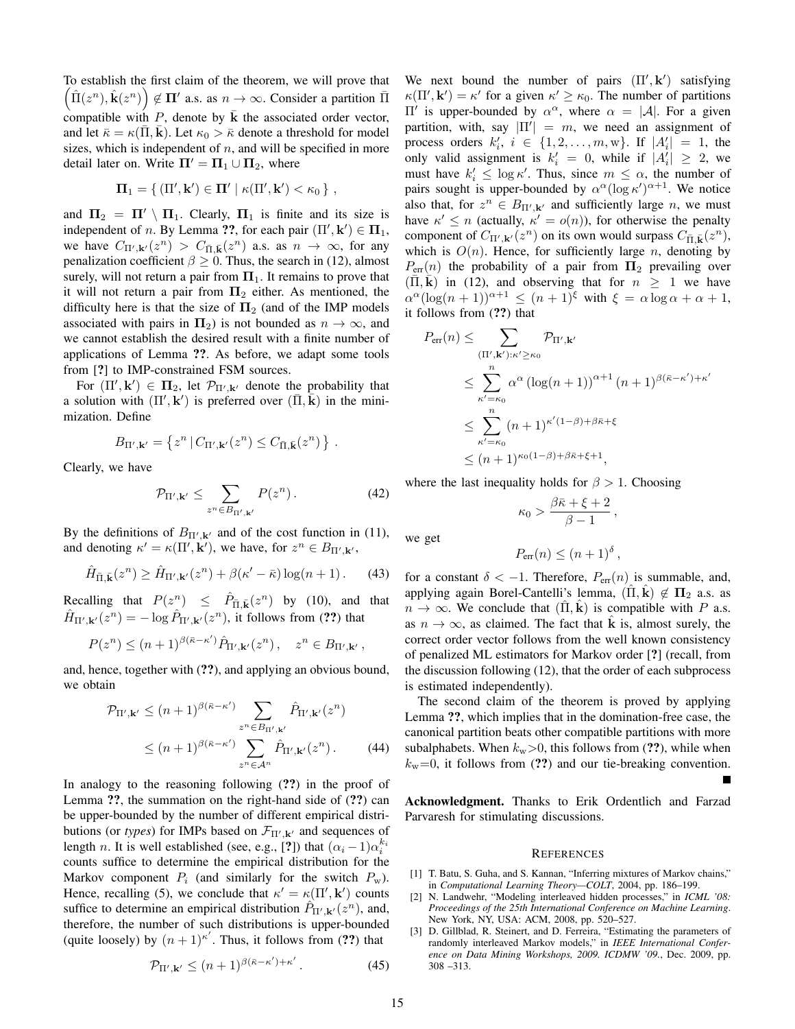To establish the first claim of the theorem, we will prove that  $(\hat{\Pi}(z^n), \hat{\mathbf{k}}(z^n)) \notin \Pi'$  a.s. as  $n \to \infty$ . Consider a partition  $\bar{\Pi}$ compatible with  $P$ , denote by  $k$  the associated order vector, and let  $\bar{\kappa} = \kappa(\Pi, \mathbf{k})$ . Let  $\kappa_0 > \bar{\kappa}$  denote a threshold for model sizes, which is independent of  $n$ , and will be specified in more detail later on. Write  $\Pi' = \Pi_1 \cup \Pi_2$ , where

$$
\Pi_1 = \{ (\Pi', \mathbf{k}') \in \Pi' \mid \kappa(\Pi', \mathbf{k}') < \kappa_0 \},
$$

and  $\Pi_2 = \Pi' \setminus \Pi_1$ . Clearly,  $\Pi_1$  is finite and its size is independent of *n*. By Lemma ??, for each pair  $(\Pi', \mathbf{k}') \in \Pi_1$ , we have  $C_{\Pi',\mathbf{k}'}(z^n) > C_{\overline{\Pi},\overline{\mathbf{k}}}(z^n)$  a.s. as  $n \to \infty$ , for any penalization coefficient  $\beta \ge 0$ . Thus, the search in (12), almost surely, will not return a pair from  $\Pi_1$ . It remains to prove that it will not return a pair from  $\Pi_2$  either. As mentioned, the difficulty here is that the size of  $\Pi_2$  (and of the IMP models associated with pairs in  $\Pi_2$ ) is not bounded as  $n \to \infty$ , and we cannot establish the desired result with a finite number of applications of Lemma ??. As before, we adapt some tools from [?] to IMP-constrained FSM sources.

For  $(\Pi', \mathbf{k}') \in \Pi_2$ , let  $\mathcal{P}_{\Pi', \mathbf{k}'}$  denote the probability that a solution with  $(\Pi', \mathbf{k}')$  is preferred over  $(\bar{\Pi}, \bar{\mathbf{k}})$  in the minimization. Define

$$
B_{\Pi',\mathbf{k}'} = \left\{ z^n \, \middle| \, C_{\Pi',\mathbf{k}'}(z^n) \leq C_{\bar{\Pi},\bar{\mathbf{k}}}(z^n) \, \right\} \, .
$$

Clearly, we have

$$
\mathcal{P}_{\Pi',\mathbf{k'}} \leq \sum_{z^n \in B_{\Pi',\mathbf{k'}}} P(z^n) \,. \tag{42}
$$

By the definitions of  $B_{\Pi',\mathbf{k'}}$  and of the cost function in (11), and denoting  $\kappa' = \kappa(\Pi', \mathbf{k}')$ , we have, for  $z^n \in B_{\Pi', \mathbf{k}'},$ 

$$
\hat{H}_{\bar{\Pi},\bar{\mathbf{k}}}(z^n) \ge \hat{H}_{\Pi',\mathbf{k}'}(z^n) + \beta(\kappa' - \bar{\kappa})\log(n+1). \tag{43}
$$

Recalling that  $P(z^n) \leq \hat{P}_{\bar{\Pi},\bar{\mathbf{k}}}(z^n)$  by (10), and that  $\hat{H}_{\Pi',\mathbf{k'}}(z^n) = -\log \hat{P}_{\Pi',\mathbf{k'}}(z^n)$ , it follows from (??) that

$$
P(z^n) \le (n+1)^{\beta(\bar{\kappa}-\kappa')} \hat{P}_{\Pi',\mathbf{k'}}(z^n) , \quad z^n \in B_{\Pi',\mathbf{k'}},
$$

and, hence, together with (??), and applying an obvious bound, we obtain

$$
\mathcal{P}_{\Pi',\mathbf{k'}} \le (n+1)^{\beta(\bar{\kappa}-\kappa')} \sum_{z^n \in B_{\Pi',\mathbf{k'}}} \hat{P}_{\Pi',\mathbf{k'}}(z^n)
$$
  
 
$$
\le (n+1)^{\beta(\bar{\kappa}-\kappa')} \sum_{z^n \in \mathcal{A}^n} \hat{P}_{\Pi',\mathbf{k'}}(z^n).
$$
 (44)

In analogy to the reasoning following (??) in the proof of Lemma ??, the summation on the right-hand side of (??) can be upper-bounded by the number of different empirical distributions (or *types*) for IMPs based on  $\mathcal{F}_{\Pi',\mathbf{k'}}$  and sequences of length *n*. It is well established (see, e.g., [?]) that  $(\alpha_i - 1)\alpha_i^{k_i}$ counts suffice to determine the empirical distribution for the Markov component  $P_i$  (and similarly for the switch  $P_w$ ). Hence, recalling (5), we conclude that  $\kappa' = \kappa(\Pi', \mathbf{k}')$  counts suffice to determine an empirical distribution  $\hat{P}_{\Pi',\mathbf{k'}}(z^n)$ , and, therefore, the number of such distributions is upper-bounded (quite loosely) by  $(n+1)^{\kappa'}$ . Thus, it follows from (??) that

$$
\mathcal{P}_{\Pi',\mathbf{k}'} \le (n+1)^{\beta(\bar{\kappa}-\kappa')+\kappa'}.
$$
 (45)

We next bound the number of pairs  $(\Pi', \mathbf{k}')$  satisfying  $\kappa(\Pi', \mathbf{k}') = \kappa'$  for a given  $\kappa' \ge \kappa_0$ . The number of partitions Π' is upper-bounded by  $\alpha^{\alpha}$ , where  $\alpha = |\mathcal{A}|$ . For a given partition, with, say  $|\Pi'| = m$ , we need an assignment of process orders  $k'_i$ ,  $i \in \{1, 2, \ldots, m, w\}$ . If  $|A'_i| = 1$ , the only valid assignment is  $k'_i = 0$ , while if  $|A'_i| \geq 2$ , we must have  $k'_i \leq \log \kappa'$ . Thus, since  $m \leq \alpha$ , the number of pairs sought is upper-bounded by  $\alpha^{\alpha} (\log \kappa')^{\alpha+1}$ . We notice also that, for  $z^n \in B_{\Pi',\mathbf{k'}}$  and sufficiently large n, we must have  $\kappa' \leq n$  (actually,  $\kappa' = o(n)$ ), for otherwise the penalty component of  $C_{\Pi',\mathbf{k}'}(z^n)$  on its own would surpass  $C_{\bar{\Pi},\bar{\mathbf{k}}}(z^n)$ , which is  $O(n)$ . Hence, for sufficiently large n, denoting by  $P_{\text{err}}(n)$  the probability of a pair from  $\Pi_2$  prevailing over  $(\overline{\Pi}, \overline{k})$  in (12), and observing that for  $n \geq 1$  we have  $\alpha^{\alpha}(\log(n+1))^{\alpha+1} \leq (n+1)^{\xi}$  with  $\xi = \alpha \log \alpha + \alpha + 1$ , it follows from (??) that

$$
P_{\text{err}}(n) \leq \sum_{(\Pi', \mathbf{k}'): \kappa' \geq \kappa_0} \mathcal{P}_{\Pi', \mathbf{k}'} \n\leq \sum_{\kappa' = \kappa_0}^n \alpha^{\alpha} \left( \log(n+1) \right)^{\alpha+1} (n+1)^{\beta(\bar{\kappa} - \kappa') + \kappa'} \n\leq \sum_{\kappa' = \kappa_0}^n (n+1)^{\kappa'(1-\beta)+\beta\bar{\kappa} + \xi} \n\leq (n+1)^{\kappa_0(1-\beta)+\beta\bar{\kappa} + \xi + 1},
$$

where the last inequality holds for  $\beta > 1$ . Choosing

$$
\kappa_0 > \frac{\beta \bar\kappa + \xi + 2}{\beta - 1} \,,
$$

we get

$$
P_{\rm err}(n) \le (n+1)^{\delta} ,
$$

for a constant  $\delta < -1$ . Therefore,  $P_{\text{err}}(n)$  is summable, and, applying again Borel-Cantelli's lemma,  $(\Pi, \mathbf{k}) \notin \Pi_2$  a.s. as  $n \to \infty$ . We conclude that  $(\hat{\Pi}, \hat{k})$  is compatible with P a.s. as  $n \to \infty$ , as claimed. The fact that **k** is, almost surely, the correct order vector follows from the well known consistency of penalized ML estimators for Markov order [?] (recall, from the discussion following (12), that the order of each subprocess is estimated independently).

The second claim of the theorem is proved by applying Lemma ??, which implies that in the domination-free case, the canonical partition beats other compatible partitions with more subalphabets. When  $k_{\rm w}$  > 0, this follows from (??), while when  $k_{\rm w}=0$ , it follows from (??) and our tie-breaking convention.

Acknowledgment. Thanks to Erik Ordentlich and Farzad Parvaresh for stimulating discussions.

#### **REFERENCES**

- [1] T. Batu, S. Guha, and S. Kannan, "Inferring mixtures of Markov chains," in *Computational Learning Theory—COLT*, 2004, pp. 186–199.
- [2] N. Landwehr, "Modeling interleaved hidden processes," in *ICML '08: Proceedings of the 25th International Conference on Machine Learning*. New York, NY, USA: ACM, 2008, pp. 520–527.
- [3] D. Gillblad, R. Steinert, and D. Ferreira, "Estimating the parameters of randomly interleaved Markov models," in *IEEE International Conference on Data Mining Workshops, 2009. ICDMW '09.*, Dec. 2009, pp. 308 –313.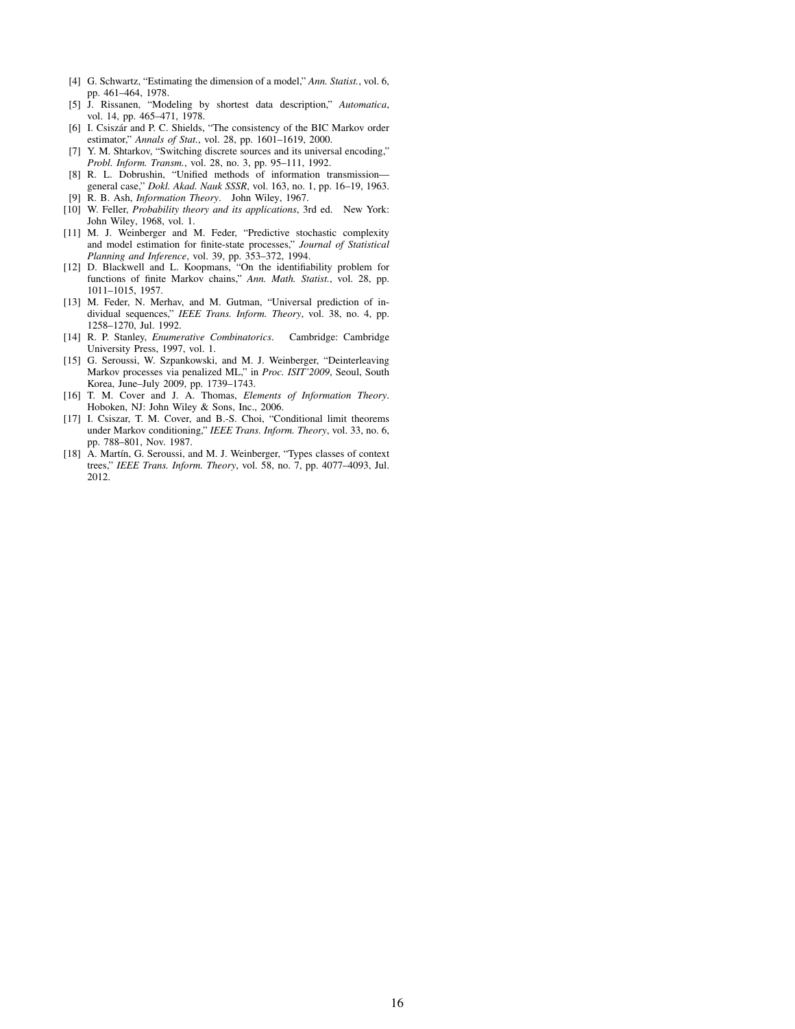- [4] G. Schwartz, "Estimating the dimension of a model," *Ann. Statist.*, vol. 6, pp. 461–464, 1978.
- [5] J. Rissanen, "Modeling by shortest data description," *Automatica*, vol. 14, pp. 465–471, 1978.
- [6] I. Csiszár and P. C. Shields, "The consistency of the BIC Markov order estimator," *Annals of Stat.*, vol. 28, pp. 1601–1619, 2000.
- [7] Y. M. Shtarkov, "Switching discrete sources and its universal encoding," *Probl. Inform. Transm.*, vol. 28, no. 3, pp. 95–111, 1992.
- [8] R. L. Dobrushin, "Unified methods of information transmission general case," *Dokl. Akad. Nauk SSSR*, vol. 163, no. 1, pp. 16–19, 1963.
- [9] R. B. Ash, *Information Theory*. John Wiley, 1967.
- [10] W. Feller, *Probability theory and its applications*, 3rd ed. New York: John Wiley, 1968, vol. 1.
- [11] M. J. Weinberger and M. Feder, "Predictive stochastic complexity and model estimation for finite-state processes," *Journal of Statistical Planning and Inference*, vol. 39, pp. 353–372, 1994.
- [12] D. Blackwell and L. Koopmans, "On the identifiability problem for functions of finite Markov chains," *Ann. Math. Statist.*, vol. 28, pp. 1011–1015, 1957.
- [13] M. Feder, N. Merhav, and M. Gutman, "Universal prediction of individual sequences," *IEEE Trans. Inform. Theory*, vol. 38, no. 4, pp. 1258–1270, Jul. 1992.
- [14] R. P. Stanley, *Enumerative Combinatorics*. Cambridge: Cambridge University Press, 1997, vol. 1.
- [15] G. Seroussi, W. Szpankowski, and M. J. Weinberger, "Deinterleaving Markov processes via penalized ML," in *Proc. ISIT'2009*, Seoul, South Korea, June–July 2009, pp. 1739–1743.
- [16] T. M. Cover and J. A. Thomas, *Elements of Information Theory*. Hoboken, NJ: John Wiley & Sons, Inc., 2006.
- [17] I. Csiszar, T. M. Cover, and B.-S. Choi, "Conditional limit theorems under Markov conditioning," *IEEE Trans. Inform. Theory*, vol. 33, no. 6, pp. 788–801, Nov. 1987.
- [18] A. Martín, G. Seroussi, and M. J. Weinberger, "Types classes of context trees," *IEEE Trans. Inform. Theory*, vol. 58, no. 7, pp. 4077–4093, Jul. 2012.